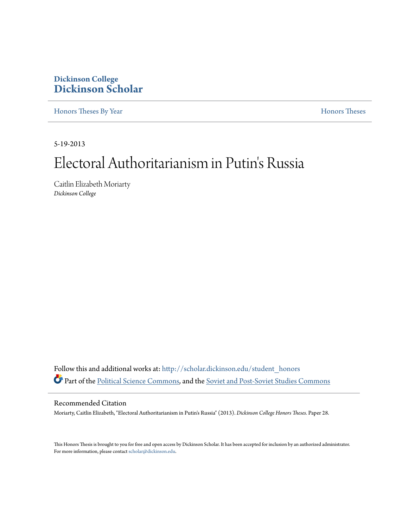## **Dickinson College [Dickinson Scholar](http://scholar.dickinson.edu?utm_source=scholar.dickinson.edu%2Fstudent_honors%2F28&utm_medium=PDF&utm_campaign=PDFCoverPages)**

[Honors Theses By Year](http://scholar.dickinson.edu/student_honors?utm_source=scholar.dickinson.edu%2Fstudent_honors%2F28&utm_medium=PDF&utm_campaign=PDFCoverPages) **[Honors Theses](http://scholar.dickinson.edu/honors?utm_source=scholar.dickinson.edu%2Fstudent_honors%2F28&utm_medium=PDF&utm_campaign=PDFCoverPages)** 

5-19-2013

# Electoral Authoritarianism in Putin's Russia

Caitlin Elizabeth Moriarty *Dickinson College*

Follow this and additional works at: [http://scholar.dickinson.edu/student\\_honors](http://scholar.dickinson.edu/student_honors?utm_source=scholar.dickinson.edu%2Fstudent_honors%2F28&utm_medium=PDF&utm_campaign=PDFCoverPages) Part of the [Political Science Commons,](http://network.bepress.com/hgg/discipline/386?utm_source=scholar.dickinson.edu%2Fstudent_honors%2F28&utm_medium=PDF&utm_campaign=PDFCoverPages) and the [Soviet and Post-Soviet Studies Commons](http://network.bepress.com/hgg/discipline/364?utm_source=scholar.dickinson.edu%2Fstudent_honors%2F28&utm_medium=PDF&utm_campaign=PDFCoverPages)

#### Recommended Citation

Moriarty, Caitlin Elizabeth, "Electoral Authoritarianism in Putin's Russia" (2013). *Dickinson College Honors Theses.* Paper 28.

This Honors Thesis is brought to you for free and open access by Dickinson Scholar. It has been accepted for inclusion by an authorized administrator. For more information, please contact <scholar@dickinson.edu>.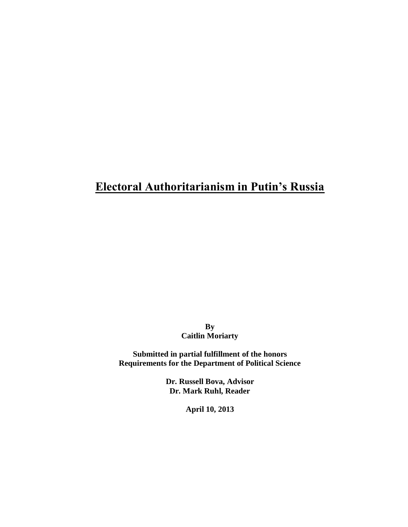## **Electoral Authoritarianism in Putin's Russia**

**By Caitlin Moriarty**

**Submitted in partial fulfillment of the honors Requirements for the Department of Political Science**

> **Dr. Russell Bova, Advisor Dr. Mark Ruhl, Reader**

> > **April 10, 2013**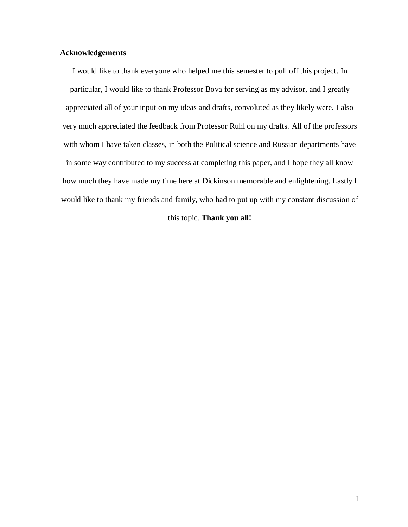#### **Acknowledgements**

I would like to thank everyone who helped me this semester to pull off this project. In particular, I would like to thank Professor Bova for serving as my advisor, and I greatly appreciated all of your input on my ideas and drafts, convoluted as they likely were. I also very much appreciated the feedback from Professor Ruhl on my drafts. All of the professors with whom I have taken classes, in both the Political science and Russian departments have in some way contributed to my success at completing this paper, and I hope they all know how much they have made my time here at Dickinson memorable and enlightening. Lastly I would like to thank my friends and family, who had to put up with my constant discussion of

#### this topic. **Thank you all!**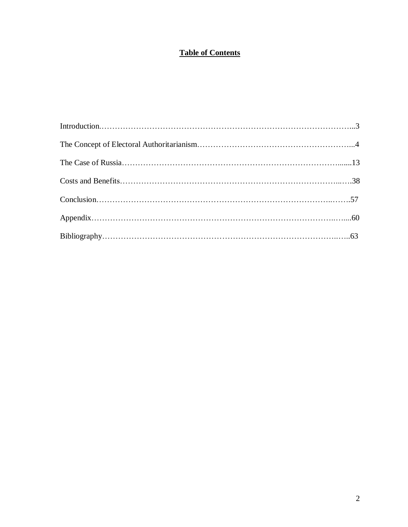## **Table of Contents**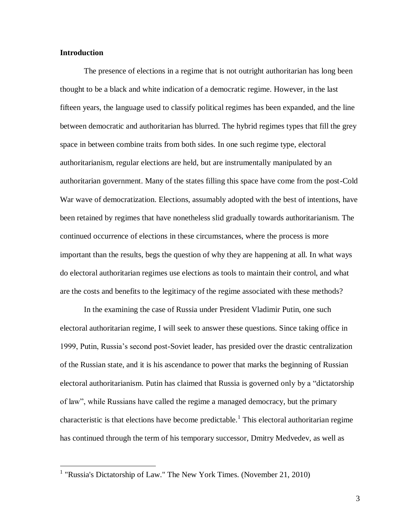#### **Introduction**

The presence of elections in a regime that is not outright authoritarian has long been thought to be a black and white indication of a democratic regime. However, in the last fifteen years, the language used to classify political regimes has been expanded, and the line between democratic and authoritarian has blurred. The hybrid regimes types that fill the grey space in between combine traits from both sides. In one such regime type, electoral authoritarianism, regular elections are held, but are instrumentally manipulated by an authoritarian government. Many of the states filling this space have come from the post-Cold War wave of democratization. Elections, assumably adopted with the best of intentions, have been retained by regimes that have nonetheless slid gradually towards authoritarianism. The continued occurrence of elections in these circumstances, where the process is more important than the results, begs the question of why they are happening at all. In what ways do electoral authoritarian regimes use elections as tools to maintain their control, and what are the costs and benefits to the legitimacy of the regime associated with these methods?

In the examining the case of Russia under President Vladimir Putin, one such electoral authoritarian regime, I will seek to answer these questions. Since taking office in 1999, Putin, Russia's second post-Soviet leader, has presided over the drastic centralization of the Russian state, and it is his ascendance to power that marks the beginning of Russian electoral authoritarianism. Putin has claimed that Russia is governed only by a "dictatorship of law", while Russians have called the regime a managed democracy, but the primary characteristic is that elections have become predictable.<sup>1</sup> This electoral authoritarian regime has continued through the term of his temporary successor, Dmitry Medvedev, as well as

 1 "Russia's Dictatorship of Law." The New York Times. (November 21, 2010)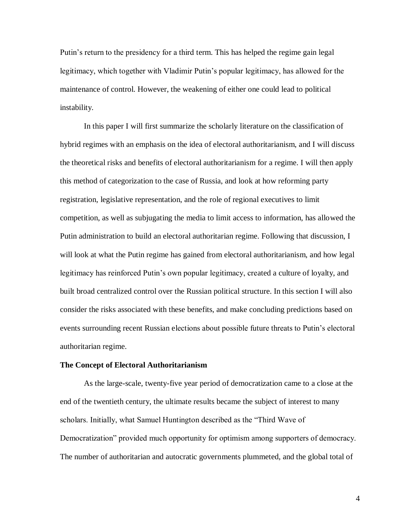Putin's return to the presidency for a third term. This has helped the regime gain legal legitimacy, which together with Vladimir Putin's popular legitimacy, has allowed for the maintenance of control. However, the weakening of either one could lead to political instability.

In this paper I will first summarize the scholarly literature on the classification of hybrid regimes with an emphasis on the idea of electoral authoritarianism, and I will discuss the theoretical risks and benefits of electoral authoritarianism for a regime. I will then apply this method of categorization to the case of Russia, and look at how reforming party registration, legislative representation, and the role of regional executives to limit competition, as well as subjugating the media to limit access to information, has allowed the Putin administration to build an electoral authoritarian regime. Following that discussion, I will look at what the Putin regime has gained from electoral authoritarianism, and how legal legitimacy has reinforced Putin's own popular legitimacy, created a culture of loyalty, and built broad centralized control over the Russian political structure. In this section I will also consider the risks associated with these benefits, and make concluding predictions based on events surrounding recent Russian elections about possible future threats to Putin's electoral authoritarian regime.

#### **The Concept of Electoral Authoritarianism**

As the large-scale, twenty-five year period of democratization came to a close at the end of the twentieth century, the ultimate results became the subject of interest to many scholars. Initially, what Samuel Huntington described as the "Third Wave of Democratization" provided much opportunity for optimism among supporters of democracy. The number of authoritarian and autocratic governments plummeted, and the global total of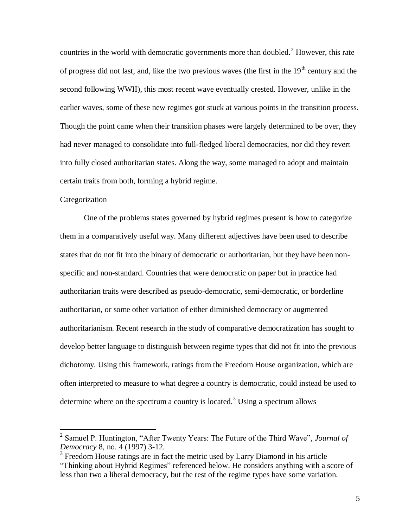countries in the world with democratic governments more than doubled.<sup>2</sup> However, this rate of progress did not last, and, like the two previous waves (the first in the  $19<sup>th</sup>$  century and the second following WWII), this most recent wave eventually crested. However, unlike in the earlier waves, some of these new regimes got stuck at various points in the transition process. Though the point came when their transition phases were largely determined to be over, they had never managed to consolidate into full-fledged liberal democracies, nor did they revert into fully closed authoritarian states. Along the way, some managed to adopt and maintain certain traits from both, forming a hybrid regime.

#### Categorization

One of the problems states governed by hybrid regimes present is how to categorize them in a comparatively useful way. Many different adjectives have been used to describe states that do not fit into the binary of democratic or authoritarian, but they have been nonspecific and non-standard. Countries that were democratic on paper but in practice had authoritarian traits were described as pseudo-democratic, semi-democratic, or borderline authoritarian, or some other variation of either diminished democracy or augmented authoritarianism. Recent research in the study of comparative democratization has sought to develop better language to distinguish between regime types that did not fit into the previous dichotomy. Using this framework, ratings from the Freedom House organization, which are often interpreted to measure to what degree a country is democratic, could instead be used to determine where on the spectrum a country is located.<sup>3</sup> Using a spectrum allows

 2 Samuel P. Huntington, "After Twenty Years: The Future of the Third Wave", *Journal of Democracy* 8, no. 4 (1997) 3-12.

<sup>&</sup>lt;sup>3</sup> Freedom House ratings are in fact the metric used by Larry Diamond in his article "Thinking about Hybrid Regimes" referenced below. He considers anything with a score of less than two a liberal democracy, but the rest of the regime types have some variation.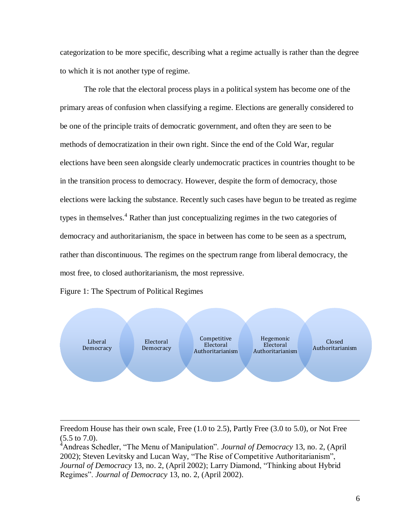categorization to be more specific, describing what a regime actually is rather than the degree to which it is not another type of regime.

The role that the electoral process plays in a political system has become one of the primary areas of confusion when classifying a regime. Elections are generally considered to be one of the principle traits of democratic government, and often they are seen to be methods of democratization in their own right. Since the end of the Cold War, regular elections have been seen alongside clearly undemocratic practices in countries thought to be in the transition process to democracy. However, despite the form of democracy, those elections were lacking the substance. Recently such cases have begun to be treated as regime types in themselves.<sup>4</sup> Rather than just conceptualizing regimes in the two categories of democracy and authoritarianism, the space in between has come to be seen as a spectrum, rather than discontinuous. The regimes on the spectrum range from liberal democracy, the most free, to closed authoritarianism, the most repressive.

Figure 1: The Spectrum of Political Regimes



Freedom House has their own scale, Free (1.0 to 2.5), Partly Free (3.0 to 5.0), or Not Free (5.5 to 7.0).

<sup>&</sup>lt;sup>4</sup>Andreas Schedler, "The Menu of Manipulation". *Journal of Democracy* 13, no. 2, (April 2002); Steven Levitsky and Lucan Way, "The Rise of Competitive Authoritarianism", *Journal of Democracy* 13, no. 2, (April 2002); Larry Diamond, "Thinking about Hybrid Regimes". *Journal of Democracy* 13, no. 2, (April 2002).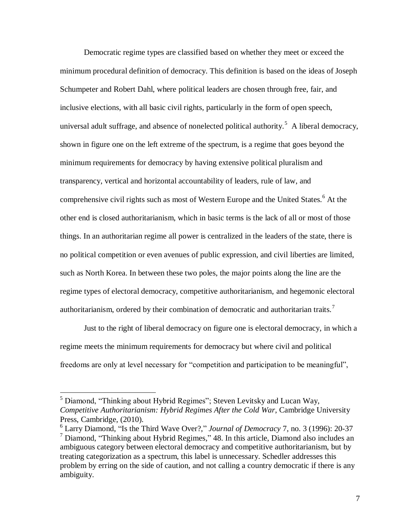Democratic regime types are classified based on whether they meet or exceed the minimum procedural definition of democracy. This definition is based on the ideas of Joseph Schumpeter and Robert Dahl, where political leaders are chosen through free, fair, and inclusive elections, with all basic civil rights, particularly in the form of open speech, universal adult suffrage, and absence of nonelected political authority.<sup>5</sup> A liberal democracy, shown in figure one on the left extreme of the spectrum, is a regime that goes beyond the minimum requirements for democracy by having extensive political pluralism and transparency, vertical and horizontal accountability of leaders, rule of law, and comprehensive civil rights such as most of Western Europe and the United States.<sup>6</sup> At the other end is closed authoritarianism, which in basic terms is the lack of all or most of those things. In an authoritarian regime all power is centralized in the leaders of the state, there is no political competition or even avenues of public expression, and civil liberties are limited, such as North Korea. In between these two poles, the major points along the line are the regime types of electoral democracy, competitive authoritarianism, and hegemonic electoral authoritarianism, ordered by their combination of democratic and authoritarian traits.<sup>7</sup>

Just to the right of liberal democracy on figure one is electoral democracy, in which a regime meets the minimum requirements for democracy but where civil and political freedoms are only at level necessary for "competition and participation to be meaningful",

 $<sup>5</sup>$  Diamond, "Thinking about Hybrid Regimes"; Steven Levitsky and Lucan Way,</sup> *Competitive Authoritarianism: Hybrid Regimes After the Cold War*, Cambridge University Press, Cambridge, (2010).

<sup>6</sup> Larry Diamond, "Is the Third Wave Over?," *Journal of Democracy* 7, no. 3 (1996): 20-37 <sup>7</sup> Diamond, "Thinking about Hybrid Regimes*,*" 48. In this article, Diamond also includes an ambiguous category between electoral democracy and competitive authoritarianism, but by treating categorization as a spectrum, this label is unnecessary. Schedler addresses this problem by erring on the side of caution, and not calling a country democratic if there is any ambiguity.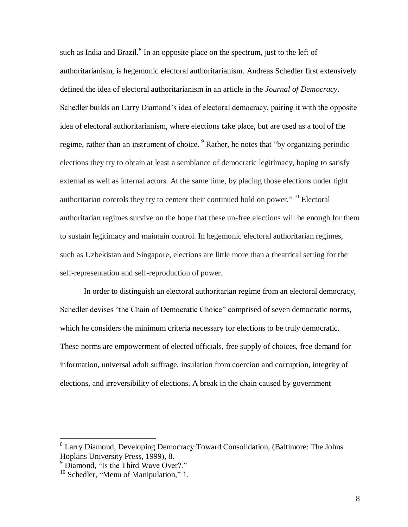such as India and Brazil. ${}^{8}$  In an opposite place on the spectrum, just to the left of authoritarianism, is hegemonic electoral authoritarianism. Andreas Schedler first extensively defined the idea of electoral authoritarianism in an article in the *Journal of Democracy*. Schedler builds on Larry Diamond's idea of electoral democracy, pairing it with the opposite idea of electoral authoritarianism, where elections take place, but are used as a tool of the regime, rather than an instrument of choice.  $9$  Rather, he notes that "by organizing periodic elections they try to obtain at least a semblance of democratic legitimacy, hoping to satisfy external as well as internal actors. At the same time, by placing those elections under tight authoritarian controls they try to cement their continued hold on power."<sup>10</sup> Electoral authoritarian regimes survive on the hope that these un-free elections will be enough for them to sustain legitimacy and maintain control. In hegemonic electoral authoritarian regimes, such as Uzbekistan and Singapore, elections are little more than a theatrical setting for the self-representation and self-reproduction of power.

In order to distinguish an electoral authoritarian regime from an electoral democracy, Schedler devises "the Chain of Democratic Choice" comprised of seven democratic norms, which he considers the minimum criteria necessary for elections to be truly democratic. These norms are empowerment of elected officials, free supply of choices, free demand for information, universal adult suffrage, insulation from coercion and corruption, integrity of elections, and irreversibility of elections. A break in the chain caused by government

<sup>&</sup>lt;sup>8</sup> Larry Diamond, Developing Democracy: Toward Consolidation, (Baltimore: The Johns Hopkins University Press, 1999), 8.

 $9$  Diamond. "Is the Third Wave Over?."

 $10$  Schedler, "Menu of Manipulation," 1.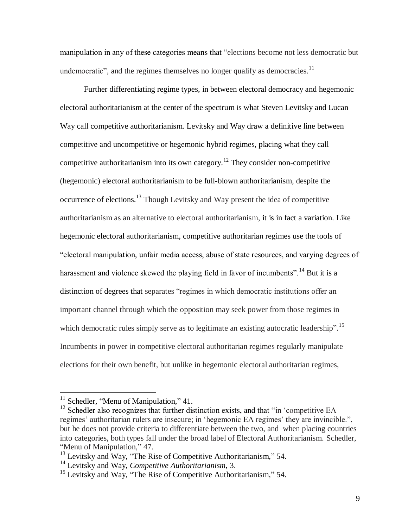manipulation in any of these categories means that "elections become not less democratic but undemocratic", and the regimes themselves no longer qualify as democracies.<sup>11</sup>

Further differentiating regime types, in between electoral democracy and hegemonic electoral authoritarianism at the center of the spectrum is what Steven Levitsky and Lucan Way call competitive authoritarianism*.* Levitsky and Way draw a definitive line between competitive and uncompetitive or hegemonic hybrid regimes, placing what they call competitive authoritarianism into its own category.<sup>12</sup> They consider non-competitive (hegemonic) electoral authoritarianism to be full-blown authoritarianism, despite the occurrence of elections.<sup>13</sup> Though Levitsky and Way present the idea of competitive authoritarianism as an alternative to electoral authoritarianism, it is in fact a variation. Like hegemonic electoral authoritarianism, competitive authoritarian regimes use the tools of "electoral manipulation, unfair media access, abuse of state resources, and varying degrees of harassment and violence skewed the playing field in favor of incumbents".<sup>14</sup> But it is a distinction of degrees that separates "regimes in which democratic institutions offer an important channel through which the opposition may seek power from those regimes in which democratic rules simply serve as to legitimate an existing autocratic leadership".<sup>15</sup> Incumbents in power in competitive electoral authoritarian regimes regularly manipulate elections for their own benefit, but unlike in hegemonic electoral authoritarian regimes,

 $11$  Schedler, "Menu of Manipulation," 41.

 $12$  Schedler also recognizes that further distinction exists, and that "in 'competitive EA regimes' authoritarian rulers are insecure; in 'hegemonic EA regimes' they are invincible.", but he does not provide criteria to differentiate between the two, and when placing countries into categories, both types fall under the broad label of Electoral Authoritarianism. Schedler, "Menu of Manipulation," 47.

<sup>&</sup>lt;sup>13</sup> Levitsky and Way, "The Rise of Competitive Authoritarianism," 54.

<sup>14</sup> Levitsky and Way, *Competitive Authoritarianism*, 3.

 $15$  Levitsky and Way, "The Rise of Competitive Authoritarianism," 54.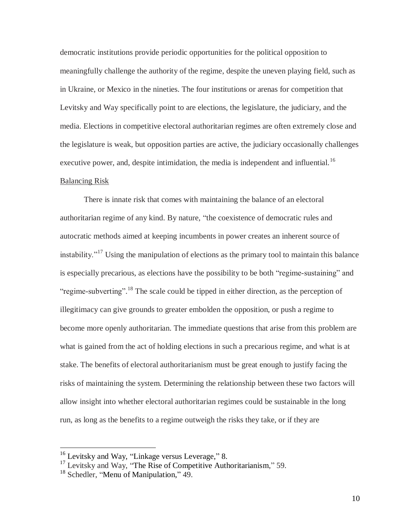democratic institutions provide periodic opportunities for the political opposition to meaningfully challenge the authority of the regime, despite the uneven playing field, such as in Ukraine, or Mexico in the nineties. The four institutions or arenas for competition that Levitsky and Way specifically point to are elections, the legislature, the judiciary, and the media. Elections in competitive electoral authoritarian regimes are often extremely close and the legislature is weak, but opposition parties are active, the judiciary occasionally challenges executive power, and, despite intimidation, the media is independent and influential.<sup>16</sup> Balancing Risk

There is innate risk that comes with maintaining the balance of an electoral authoritarian regime of any kind. By nature, "the coexistence of democratic rules and autocratic methods aimed at keeping incumbents in power creates an inherent source of instability. $17$ <sup>17</sup> Using the manipulation of elections as the primary tool to maintain this balance is especially precarious, as elections have the possibility to be both "regime-sustaining" and "regime-subverting".<sup>18</sup> The scale could be tipped in either direction, as the perception of illegitimacy can give grounds to greater embolden the opposition, or push a regime to become more openly authoritarian. The immediate questions that arise from this problem are what is gained from the act of holding elections in such a precarious regime, and what is at stake. The benefits of electoral authoritarianism must be great enough to justify facing the risks of maintaining the system. Determining the relationship between these two factors will allow insight into whether electoral authoritarian regimes could be sustainable in the long run, as long as the benefits to a regime outweigh the risks they take, or if they are

<sup>&</sup>lt;sup>16</sup> Levitsky and Way, "Linkage versus Leverage," 8.

 $17$  Levitsky and Way, "The Rise of Competitive Authoritarianism," 59.

<sup>&</sup>lt;sup>18</sup> Schedler, "Menu of Manipulation," 49.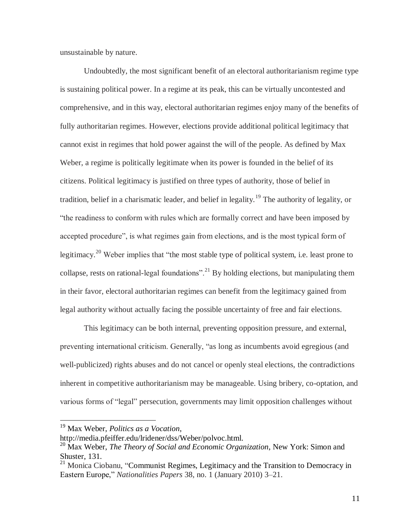unsustainable by nature.

Undoubtedly, the most significant benefit of an electoral authoritarianism regime type is sustaining political power. In a regime at its peak, this can be virtually uncontested and comprehensive, and in this way, electoral authoritarian regimes enjoy many of the benefits of fully authoritarian regimes. However, elections provide additional political legitimacy that cannot exist in regimes that hold power against the will of the people. As defined by Max Weber, a regime is politically legitimate when its power is founded in the belief of its citizens. Political legitimacy is justified on three types of authority, those of belief in tradition, belief in a charismatic leader, and belief in legality.<sup>19</sup> The authority of legality, or "the readiness to conform with rules which are formally correct and have been imposed by accepted procedure", is what regimes gain from elections, and is the most typical form of legitimacy.<sup>20</sup> Weber implies that "the most stable type of political system, i.e. least prone to collapse, rests on rational-legal foundations".<sup>21</sup> By holding elections, but manipulating them in their favor, electoral authoritarian regimes can benefit from the legitimacy gained from legal authority without actually facing the possible uncertainty of free and fair elections.

This legitimacy can be both internal, preventing opposition pressure, and external, preventing international criticism. Generally, "as long as incumbents avoid egregious (and well-publicized) rights abuses and do not cancel or openly steal elections, the contradictions inherent in competitive authoritarianism may be manageable. Using bribery, co-optation, and various forms of "legal" persecution, governments may limit opposition challenges without

<sup>19</sup> Max Weber, *Politics as a Vocation*,

http://media.pfeiffer.edu/lridener/dss/Weber/polvoc.html.

<sup>20</sup> Max Weber, *The Theory of Social and Economic Organization*, New York: Simon and Shuster, 131.

<sup>&</sup>lt;sup>21</sup> Monica Ciobanu, "Communist Regimes, Legitimacy and the Transition to Democracy in Eastern Europe," *Nationalities Papers* 38, no. 1 (January 2010) 3–21.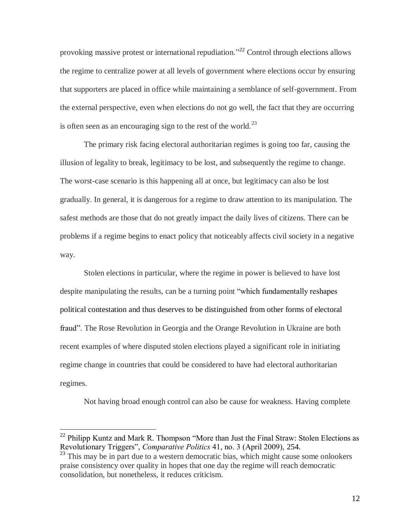provoking massive protest or international repudiation."<sup>22</sup> Control through elections allows the regime to centralize power at all levels of government where elections occur by ensuring that supporters are placed in office while maintaining a semblance of self-government. From the external perspective, even when elections do not go well, the fact that they are occurring is often seen as an encouraging sign to the rest of the world.<sup>23</sup>

The primary risk facing electoral authoritarian regimes is going too far, causing the illusion of legality to break, legitimacy to be lost, and subsequently the regime to change. The worst-case scenario is this happening all at once, but legitimacy can also be lost gradually. In general, it is dangerous for a regime to draw attention to its manipulation. The safest methods are those that do not greatly impact the daily lives of citizens. There can be problems if a regime begins to enact policy that noticeably affects civil society in a negative way.

Stolen elections in particular, where the regime in power is believed to have lost despite manipulating the results, can be a turning point "which fundamentally reshapes political contestation and thus deserves to be distinguished from other forms of electoral fraud". The Rose Revolution in Georgia and the Orange Revolution in Ukraine are both recent examples of where disputed stolen elections played a significant role in initiating regime change in countries that could be considered to have had electoral authoritarian regimes.

Not having broad enough control can also be cause for weakness. Having complete

 $22$  Philipp Kuntz and Mark R. Thompson "More than Just the Final Straw: Stolen Elections as Revolutionary Triggers", *Comparative Politics* 41, no. 3 (April 2009), 254.

 $^{23}$  This may be in part due to a western democratic bias, which might cause some onlookers praise consistency over quality in hopes that one day the regime will reach democratic consolidation, but nonetheless, it reduces criticism.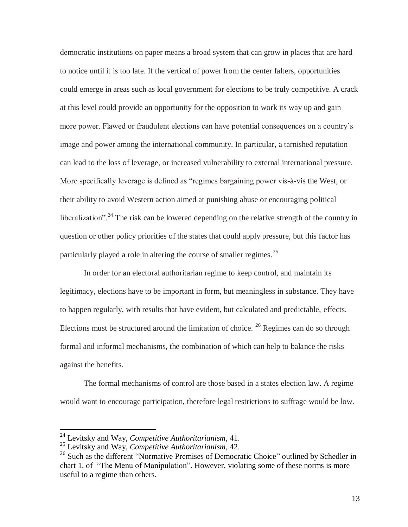democratic institutions on paper means a broad system that can grow in places that are hard to notice until it is too late. If the vertical of power from the center falters, opportunities could emerge in areas such as local government for elections to be truly competitive. A crack at this level could provide an opportunity for the opposition to work its way up and gain more power. Flawed or fraudulent elections can have potential consequences on a country's image and power among the international community. In particular, a tarnished reputation can lead to the loss of leverage, or increased vulnerability to external international pressure. More specifically leverage is defined as "regimes bargaining power vis-à-vis the West, or their ability to avoid Western action aimed at punishing abuse or encouraging political liberalization".<sup>24</sup> The risk can be lowered depending on the relative strength of the country in question or other policy priorities of the states that could apply pressure, but this factor has particularly played a role in altering the course of smaller regimes.<sup>25</sup>

In order for an electoral authoritarian regime to keep control, and maintain its legitimacy, elections have to be important in form, but meaningless in substance. They have to happen regularly, with results that have evident, but calculated and predictable, effects. Elections must be structured around the limitation of choice.  $^{26}$  Regimes can do so through formal and informal mechanisms, the combination of which can help to balance the risks against the benefits.

The formal mechanisms of control are those based in a states election law. A regime would want to encourage participation, therefore legal restrictions to suffrage would be low.

<sup>24</sup> Levitsky and Way, *Competitive Authoritarianism*, 41.

<sup>25</sup> Levitsky and Way, *Competitive Authoritarianism*, 42.

<sup>&</sup>lt;sup>26</sup> Such as the different "Normative Premises of Democratic Choice" outlined by Schedler in chart 1, of "The Menu of Manipulation". However, violating some of these norms is more useful to a regime than others.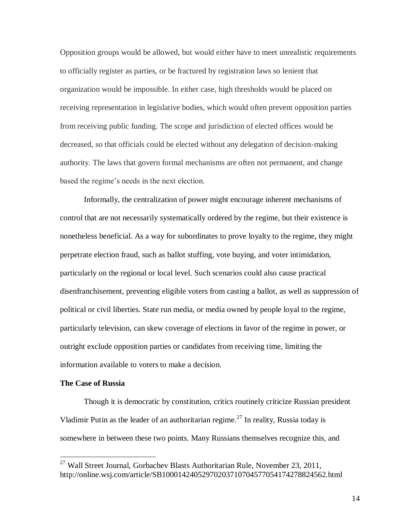Opposition groups would be allowed, but would either have to meet unrealistic requirements to officially register as parties, or be fractured by registration laws so lenient that organization would be impossible. In either case, high thresholds would be placed on receiving representation in legislative bodies, which would often prevent opposition parties from receiving public funding. The scope and jurisdiction of elected offices would be decreased, so that officials could be elected without any delegation of decision-making authority. The laws that govern formal mechanisms are often not permanent, and change based the regime's needs in the next election.

Informally, the centralization of power might encourage inherent mechanisms of control that are not necessarily systematically ordered by the regime, but their existence is nonetheless beneficial. As a way for subordinates to prove loyalty to the regime, they might perpetrate election fraud, such as ballot stuffing, vote buying, and voter intimidation, particularly on the regional or local level. Such scenarios could also cause practical disenfranchisement, preventing eligible voters from casting a ballot, as well as suppression of political or civil liberties. State run media, or media owned by people loyal to the regime, particularly television, can skew coverage of elections in favor of the regime in power, or outright exclude opposition parties or candidates from receiving time, limiting the information available to voters to make a decision.

#### **The Case of Russia**

 $\overline{a}$ 

Though it is democratic by constitution, critics routinely criticize Russian president Vladimir Putin as the leader of an authoritarian regime.<sup>27</sup> In reality, Russia today is somewhere in between these two points. Many Russians themselves recognize this, and

<sup>&</sup>lt;sup>27</sup> Wall Street Journal, Gorbachev Blasts Authoritarian Rule, November 23, 2011, http://online.wsj.com/article/SB10001424052970203710704577054174278824562.html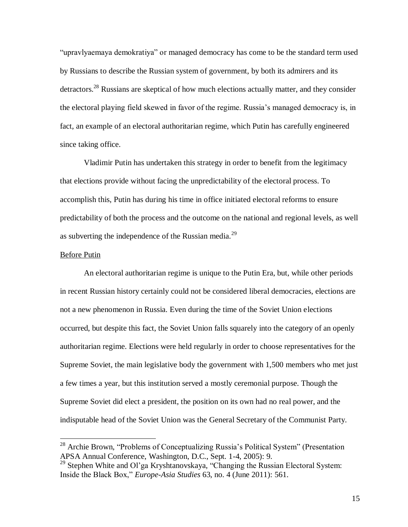"upravlyaemaya demokratiya" or managed democracy has come to be the standard term used by Russians to describe the Russian system of government, by both its admirers and its detractors.<sup>28</sup> Russians are skeptical of how much elections actually matter, and they consider the electoral playing field skewed in favor of the regime. Russia's managed democracy is, in fact, an example of an electoral authoritarian regime, which Putin has carefully engineered since taking office.

Vladimir Putin has undertaken this strategy in order to benefit from the legitimacy that elections provide without facing the unpredictability of the electoral process. To accomplish this, Putin has during his time in office initiated electoral reforms to ensure predictability of both the process and the outcome on the national and regional levels, as well as subverting the independence of the Russian media.<sup>29</sup>

#### Before Putin

 $\overline{a}$ 

An electoral authoritarian regime is unique to the Putin Era, but, while other periods in recent Russian history certainly could not be considered liberal democracies, elections are not a new phenomenon in Russia. Even during the time of the Soviet Union elections occurred, but despite this fact, the Soviet Union falls squarely into the category of an openly authoritarian regime. Elections were held regularly in order to choose representatives for the Supreme Soviet, the main legislative body the government with 1,500 members who met just a few times a year, but this institution served a mostly ceremonial purpose. Though the Supreme Soviet did elect a president, the position on its own had no real power, and the indisputable head of the Soviet Union was the General Secretary of the Communist Party.

<sup>&</sup>lt;sup>28</sup> Archie Brown, "Problems of Conceptualizing Russia's Political System" (Presentation APSA Annual Conference, Washington, D.C., Sept. 1-4, 2005): 9.

<sup>&</sup>lt;sup>29</sup> Stephen White and Ol'ga Kryshtanovskaya, "Changing the Russian Electoral System: Inside the Black Box," *Europe-Asia Studies* 63, no. 4 (June 2011): 561.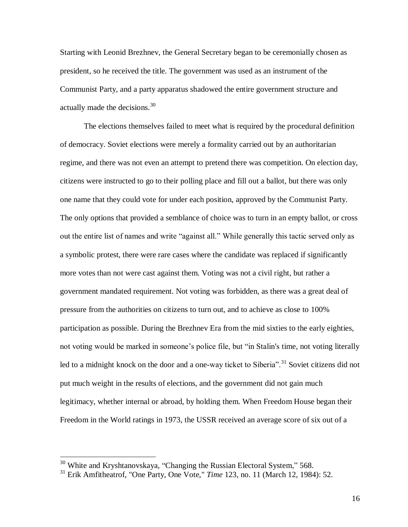Starting with Leonid Brezhnev, the General Secretary began to be ceremonially chosen as president, so he received the title. The government was used as an instrument of the Communist Party, and a party apparatus shadowed the entire government structure and actually made the decisions. $30<sup>30</sup>$ 

The elections themselves failed to meet what is required by the procedural definition of democracy. Soviet elections were merely a formality carried out by an authoritarian regime, and there was not even an attempt to pretend there was competition. On election day, citizens were instructed to go to their polling place and fill out a ballot, but there was only one name that they could vote for under each position, approved by the Communist Party. The only options that provided a semblance of choice was to turn in an empty ballot, or cross out the entire list of names and write "against all." While generally this tactic served only as a symbolic protest, there were rare cases where the candidate was replaced if significantly more votes than not were cast against them. Voting was not a civil right, but rather a government mandated requirement. Not voting was forbidden, as there was a great deal of pressure from the authorities on citizens to turn out, and to achieve as close to 100% participation as possible. During the Brezhnev Era from the mid sixties to the early eighties, not voting would be marked in someone's police file, but "in Stalin's time, not voting literally led to a midnight knock on the door and a one-way ticket to Siberia".<sup>31</sup> Soviet citizens did not put much weight in the results of elections, and the government did not gain much legitimacy, whether internal or abroad, by holding them. When Freedom House began their Freedom in the World ratings in 1973, the USSR received an average score of six out of a

 $\overline{a}$ 

16

<sup>&</sup>lt;sup>30</sup> White and Kryshtanovskaya, "Changing the Russian Electoral System," 568.

<sup>31</sup> Erik Amfitheatrof, "One Party, One Vote," *Time* 123, no. 11 (March 12, 1984): 52.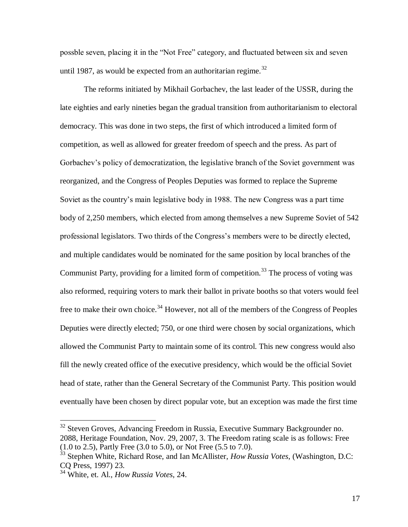possble seven, placing it in the "Not Free" category, and fluctuated between six and seven until 1987, as would be expected from an authoritarian regime.<sup>32</sup>

The reforms initiated by Mikhail Gorbachev, the last leader of the USSR, during the late eighties and early nineties began the gradual transition from authoritarianism to electoral democracy. This was done in two steps, the first of which introduced a limited form of competition, as well as allowed for greater freedom of speech and the press. As part of Gorbachev's policy of democratization, the legislative branch of the Soviet government was reorganized, and the Congress of Peoples Deputies was formed to replace the Supreme Soviet as the country's main legislative body in 1988. The new Congress was a part time body of 2,250 members, which elected from among themselves a new Supreme Soviet of 542 professional legislators. Two thirds of the Congress's members were to be directly elected, and multiple candidates would be nominated for the same position by local branches of the Communist Party, providing for a limited form of competition.<sup>33</sup> The process of voting was also reformed, requiring voters to mark their ballot in private booths so that voters would feel free to make their own choice.<sup>34</sup> However, not all of the members of the Congress of Peoples Deputies were directly elected; 750, or one third were chosen by social organizations, which allowed the Communist Party to maintain some of its control. This new congress would also fill the newly created office of the executive presidency, which would be the official Soviet head of state, rather than the General Secretary of the Communist Party. This position would eventually have been chosen by direct popular vote, but an exception was made the first time

<sup>&</sup>lt;sup>32</sup> Steven Groves, Advancing Freedom in Russia, Executive Summary Backgrounder no. 2088, Heritage Foundation, Nov. 29, 2007, 3. The Freedom rating scale is as follows: Free (1.0 to 2.5), Partly Free (3.0 to 5.0), or Not Free (5.5 to 7.0).

<sup>33</sup> Stephen White, Richard Rose, and Ian McAllister, *How Russia Votes*, (Washington, D.C: CQ Press, 1997) 23.

<sup>34</sup> White, et. Al., *How Russia Votes*, 24.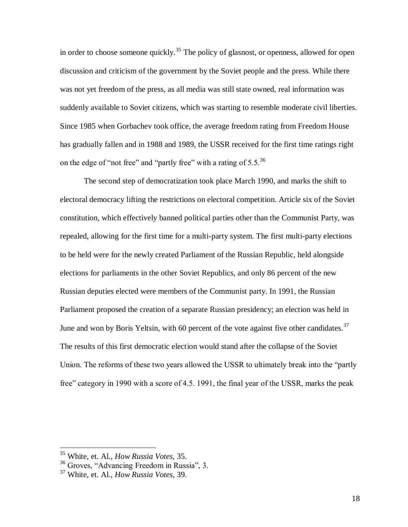in order to choose someone quickly.<sup>35</sup> The policy of glasnost, or openness, allowed for open discussion and criticism of the government by the Soviet people and the press. While there was not yet freedom of the press, as all media was still state owned, real information was suddenly available to Soviet citizens, which was starting to resemble moderate civil liberties. Since 1985 when Gorbachev took office, the average freedom rating from Freedom House has gradually fallen and in 1988 and 1989, the USSR received for the first time ratings right on the edge of "not free" and "partly free" with a rating of  $5.5.^{36}$ 

The second step of democratization took place March 1990, and marks the shift to electoral democracy lifting the restrictions on electoral competition. Article six of the Soviet constitution, which effectively banned political parties other than the Communist Party, was repealed, allowing for the first time for a multi-party system. The first multi-party elections to be held were for the newly created Parliament of the Russian Republic, held alongside elections for parliaments in the other Soviet Republics, and only 86 percent of the new Russian deputies elected were members of the Communist party. In 1991, the Russian Parliament proposed the creation of a separate Russian presidency; an election was held in June and won by Boris Yeltsin, with 60 percent of the vote against five other candidates.<sup>37</sup> The results of this first democratic election would stand after the collapse of the Soviet Union. The reforms of these two years allowed the USSR to ultimately break into the "partly free" category in 1990 with a score of 4.5. 1991, the final year of the USSR, marks the peak

<sup>35</sup> White, et. Al., *How Russia Votes*, 35.

<sup>36</sup> Groves, "Advancing Freedom in Russia", 3.

<sup>37</sup> White, et. Al., *How Russia Votes*, 39.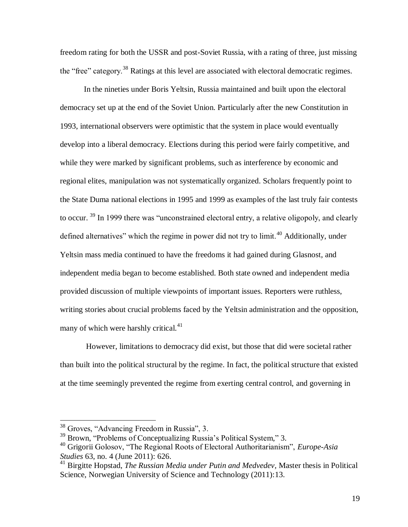freedom rating for both the USSR and post-Soviet Russia, with a rating of three, just missing the "free" category.<sup>38</sup> Ratings at this level are associated with electoral democratic regimes.

In the nineties under Boris Yeltsin, Russia maintained and built upon the electoral democracy set up at the end of the Soviet Union. Particularly after the new Constitution in 1993, international observers were optimistic that the system in place would eventually develop into a liberal democracy. Elections during this period were fairly competitive, and while they were marked by significant problems, such as interference by economic and regional elites, manipulation was not systematically organized. Scholars frequently point to the State Duma national elections in 1995 and 1999 as examples of the last truly fair contests to occur. <sup>39</sup> In 1999 there was "unconstrained electoral entry, a relative oligopoly, and clearly defined alternatives" which the regime in power did not try to limit.<sup>40</sup> Additionally, under Yeltsin mass media continued to have the freedoms it had gained during Glasnost, and independent media began to become established. Both state owned and independent media provided discussion of multiple viewpoints of important issues. Reporters were ruthless, writing stories about crucial problems faced by the Yeltsin administration and the opposition, many of which were harshly critical.<sup>41</sup>

However, limitations to democracy did exist, but those that did were societal rather than built into the political structural by the regime. In fact, the political structure that existed at the time seemingly prevented the regime from exerting central control, and governing in

<sup>38</sup> Groves, "Advancing Freedom in Russia", 3.

<sup>&</sup>lt;sup>39</sup> Brown, "Problems of Conceptualizing Russia's Political System," 3.

<sup>40</sup> Grigorii Golosov, "The Regional Roots of Electoral Authoritarianism", *Europe-Asia Studies* 63, no. 4 (June 2011): 626.

<sup>41</sup> Birgitte Hopstad, *The Russian Media under Putin and Medvedev,* Master thesis in Political Science, Norwegian University of Science and Technology (2011):13.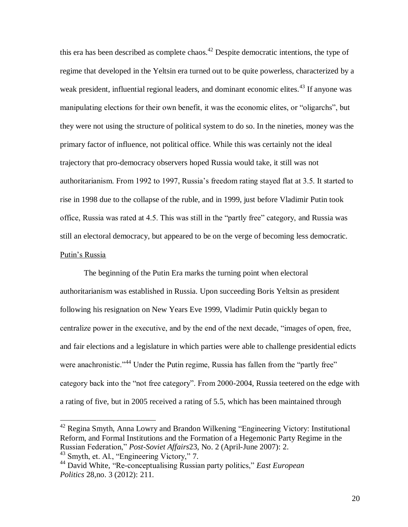this era has been described as complete chaos.<sup>42</sup> Despite democratic intentions, the type of regime that developed in the Yeltsin era turned out to be quite powerless, characterized by a weak president, influential regional leaders, and dominant economic elites.<sup>43</sup> If anyone was manipulating elections for their own benefit, it was the economic elites, or "oligarchs", but they were not using the structure of political system to do so. In the nineties, money was the primary factor of influence, not political office. While this was certainly not the ideal trajectory that pro-democracy observers hoped Russia would take, it still was not authoritarianism. From 1992 to 1997, Russia's freedom rating stayed flat at 3.5. It started to rise in 1998 due to the collapse of the ruble, and in 1999, just before Vladimir Putin took office, Russia was rated at 4.5. This was still in the "partly free" category, and Russia was still an electoral democracy, but appeared to be on the verge of becoming less democratic. Putin's Russia

The beginning of the Putin Era marks the turning point when electoral authoritarianism was established in Russia. Upon succeeding Boris Yeltsin as president following his resignation on New Years Eve 1999, Vladimir Putin quickly began to centralize power in the executive, and by the end of the next decade, "images of open, free, and fair elections and a legislature in which parties were able to challenge presidential edicts were anachronistic."<sup>44</sup> Under the Putin regime, Russia has fallen from the "partly free" category back into the "not free category". From 2000-2004, Russia teetered on the edge with a rating of five, but in 2005 received a rating of 5.5, which has been maintained through

<sup>42</sup> Regina Smyth, Anna Lowry and Brandon Wilkening "Engineering Victory: Institutional Reform, and Formal Institutions and the Formation of a Hegemonic Party Regime in the Russian Federation," *Post-Soviet Affairs*23, No. 2 (April-June 2007): 2.

<sup>43</sup> Smyth, et. Al., "Engineering Victory," 7.

<sup>44</sup> David White, "Re-conceptualising Russian party politics," *East European Politics* 28,no. 3 (2012): 211.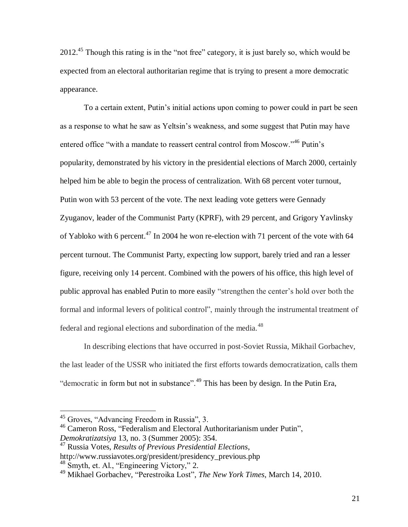2012.<sup>45</sup> Though this rating is in the "not free" category, it is just barely so, which would be expected from an electoral authoritarian regime that is trying to present a more democratic appearance.

To a certain extent, Putin's initial actions upon coming to power could in part be seen as a response to what he saw as Yeltsin's weakness, and some suggest that Putin may have entered office "with a mandate to reassert central control from Moscow."<sup>46</sup> Putin's popularity, demonstrated by his victory in the presidential elections of March 2000, certainly helped him be able to begin the process of centralization. With 68 percent voter turnout, Putin won with 53 percent of the vote. The next leading vote getters were Gennady Zyuganov, leader of the Communist Party (KPRF), with 29 percent, and Grigory Yavlinsky of Yabloko with 6 percent.<sup>47</sup> In 2004 he won re-election with 71 percent of the vote with 64 percent turnout. The Communist Party, expecting low support, barely tried and ran a lesser figure, receiving only 14 percent. Combined with the powers of his office, this high level of public approval has enabled Putin to more easily "strengthen the center's hold over both the formal and informal levers of political control", mainly through the instrumental treatment of federal and regional elections and subordination of the media.<sup>48</sup>

In describing elections that have occurred in post-Soviet Russia, Mikhail Gorbachev, the last leader of the USSR who initiated the first efforts towards democratization, calls them "democratic in form but not in substance".<sup>49</sup> This has been by design. In the Putin Era,

 $\overline{a}$ 

<sup>47</sup> Russia Votes, *Results of Previous Presidential Elections*,

<sup>45</sup> Groves, "Advancing Freedom in Russia", 3.

<sup>46</sup> Cameron Ross, "Federalism and Electoral Authoritarianism under Putin", *Demokratizatsiya* 13, no. 3 (Summer 2005): 354.

http://www.russiavotes.org/president/presidency\_previous.php

<sup>48</sup> Smyth, et. Al., "Engineering Victory," 2.

<sup>49</sup> Mikhael Gorbachev, "Perestroika Lost", *The New York Times*, March 14, 2010.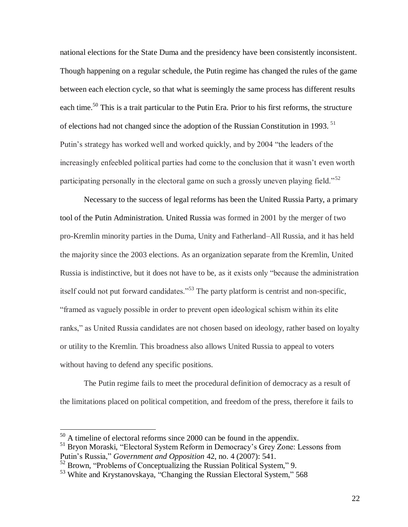national elections for the State Duma and the presidency have been consistently inconsistent. Though happening on a regular schedule, the Putin regime has changed the rules of the game between each election cycle, so that what is seemingly the same process has different results each time.<sup>50</sup> This is a trait particular to the Putin Era. Prior to his first reforms, the structure of elections had not changed since the adoption of the Russian Constitution in 1993.<sup>51</sup> Putin's strategy has worked well and worked quickly, and by 2004 "the leaders of the increasingly enfeebled political parties had come to the conclusion that it wasn't even worth participating personally in the electoral game on such a grossly uneven playing field."<sup>52</sup>

Necessary to the success of legal reforms has been the United Russia Party, a primary tool of the Putin Administration. United Russia was formed in 2001 by the merger of two pro-Kremlin minority parties in the Duma, Unity and Fatherland–All Russia, and it has held the majority since the 2003 elections. As an organization separate from the Kremlin, United Russia is indistinctive, but it does not have to be, as it exists only "because the administration itself could not put forward candidates."<sup>53</sup> The party platform is centrist and non-specific, "framed as vaguely possible in order to prevent open ideological schism within its elite ranks," as United Russia candidates are not chosen based on ideology, rather based on loyalty or utility to the Kremlin. This broadness also allows United Russia to appeal to voters without having to defend any specific positions.

The Putin regime fails to meet the procedural definition of democracy as a result of the limitations placed on political competition, and freedom of the press, therefore it fails to

 $50$  A timeline of electoral reforms since 2000 can be found in the appendix.

<sup>&</sup>lt;sup>51</sup> Bryon Moraski, "Electoral System Reform in Democracy's Grey Zone: Lessons from Putin's Russia," *Government and Opposition* 42, no. 4 (2007): 541.

 $52$  Brown, "Problems of Conceptualizing the Russian Political System," 9.

<sup>&</sup>lt;sup>53</sup> White and Krystanovskaya, "Changing the Russian Electoral System," 568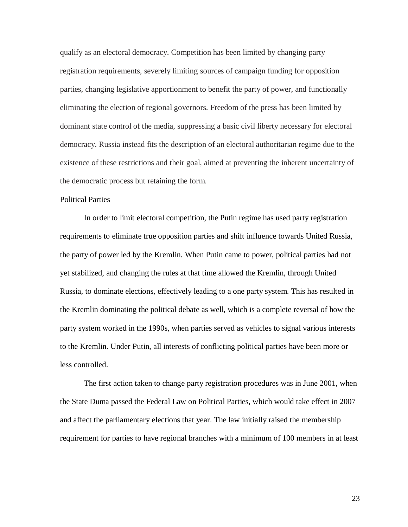qualify as an electoral democracy. Competition has been limited by changing party registration requirements, severely limiting sources of campaign funding for opposition parties, changing legislative apportionment to benefit the party of power, and functionally eliminating the election of regional governors. Freedom of the press has been limited by dominant state control of the media, suppressing a basic civil liberty necessary for electoral democracy. Russia instead fits the description of an electoral authoritarian regime due to the existence of these restrictions and their goal, aimed at preventing the inherent uncertainty of the democratic process but retaining the form.

#### Political Parties

In order to limit electoral competition, the Putin regime has used party registration requirements to eliminate true opposition parties and shift influence towards United Russia, the party of power led by the Kremlin. When Putin came to power, political parties had not yet stabilized, and changing the rules at that time allowed the Kremlin, through United Russia, to dominate elections, effectively leading to a one party system. This has resulted in the Kremlin dominating the political debate as well, which is a complete reversal of how the party system worked in the 1990s, when parties served as vehicles to signal various interests to the Kremlin. Under Putin, all interests of conflicting political parties have been more or less controlled.

The first action taken to change party registration procedures was in June 2001, when the State Duma passed the Federal Law on Political Parties, which would take effect in 2007 and affect the parliamentary elections that year. The law initially raised the membership requirement for parties to have regional branches with a minimum of 100 members in at least

23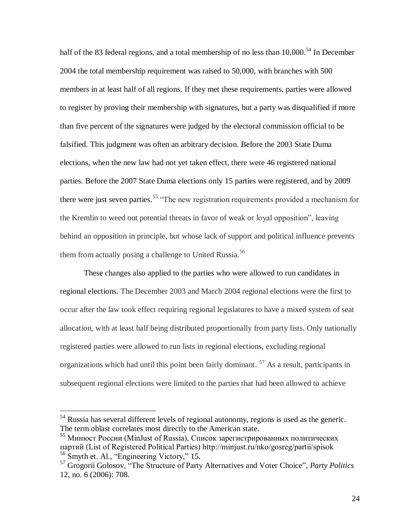half of the 83 federal regions, and a total membership of no less than 10,000.<sup>54</sup> In December 2004 the total membership requirement was raised to 50,000, with branches with 500 members in at least half of all regions. If they met these requirements, parties were allowed to register by proving their membership with signatures, but a party was disqualified if more than five percent of the signatures were judged by the electoral commission official to be falsified. This judgment was often an arbitrary decision. Before the 2003 State Duma elections, when the new law had not yet taken effect, there were 46 registered national parties. Before the 2007 State Duma elections only 15 parties were registered, and by 2009 there were just seven parties.<sup>55</sup> "The new registration requirements provided a mechanism for the Kremlin to weed out potential threats in favor of weak or loyal opposition", leaving behind an opposition in principle, but whose lack of support and political influence prevents them from actually posing a challenge to United Russia.<sup>56</sup>

These changes also applied to the parties who were allowed to run candidates in regional elections. The December 2003 and March 2004 regional elections were the first to occur after the law took effect requiring regional legislatures to have a mixed system of seat allocation, with at least half being distributed proportionally from party lists. Only nationally registered parties were allowed to run lists in regional elections, excluding regional organizations which had until this point been fairly dominant.  $57$  As a result, participants in subsequent regional elections were limited to the parties that had been allowed to achieve

 $<sup>54</sup>$  Russia has several different levels of regional autonomy, regions is used as the generic.</sup> The term oblast correlates most directly to the American state.

<sup>&</sup>lt;sup>55</sup> Минюст России (MinJust of Russia), Список зарегистрированных политических партий (List of Registered Political Parties) http://minjust.ru/nko/gosreg/partii/spisok <sup>56</sup> Smyth et. Al., "Engineering Victory," 15.

<sup>57</sup> Grogorii Golosov, "The Structure of Party Alternatives and Voter Choice", *Party Politics* 12, no. 6 (2006): 708.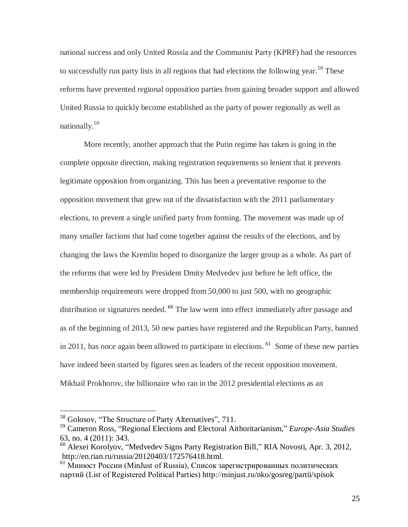national success and only United Russia and the Communist Party (KPRF) had the resources to successfully run party lists in all regions that had elections the following year.<sup>58</sup> These reforms have prevented regional opposition parties from gaining broader support and allowed United Russia to quickly become established as the party of power regionally as well as nationally.<sup>59</sup>

More recently, another approach that the Putin regime has taken is going in the complete opposite direction, making registration requirements so lenient that it prevents legitimate opposition from organizing. This has been a preventative response to the opposition movement that grew out of the dissatisfaction with the 2011 parliamentary elections, to prevent a single unified party from forming. The movement was made up of many smaller factions that had come together against the results of the elections, and by changing the laws the Kremlin hoped to disorganize the larger group as a whole. As part of the reforms that were led by President Dmity Medvedev just before he left office, the membership requirements were dropped from 50,000 to just 500, with no geographic distribution or signatures needed. <sup>60</sup> The law went into effect immediately after passage and as of the beginning of 2013, 50 new parties have registered and the Republican Party, banned in 2011, has once again been allowed to participate in elections.  $61$  Some of these new parties have indeed been started by figures seen as leaders of the recent opposition movement. Mikhail Prokhorov, the billionaire who ran in the 2012 presidential elections as an

<sup>58</sup> Golosov, "The Structure of Party Alternatives", 711.

<sup>59</sup> Cameron Ross, "Regional Elections and Electoral Aithoritarianism," *Europe-Asia Studies* 63, no. 4 (2011): 343.

<sup>&</sup>lt;sup>60</sup> Alexei Korolyov, "Medvedev Signs Party Registration Bill," RIA Novosti, Apr. 3, 2012, http://en.rian.ru/russia/20120403/172576418.html.

 $61$  Минюст России (MinJust of Russia), Список зарегистрированных политических партий (List of Registered Political Parties) http://minjust.ru/nko/gosreg/partii/spisok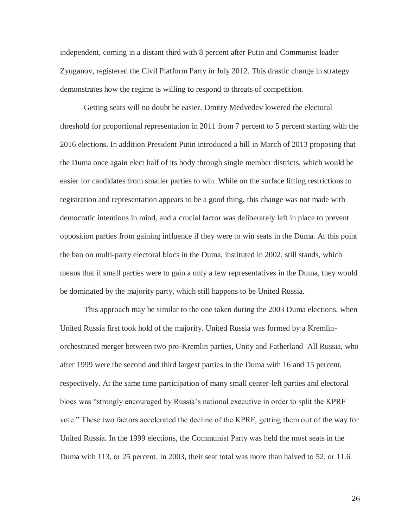independent, coming in a distant third with 8 percent after Putin and Communist leader Zyuganov, registered the Civil Platform Party in July 2012. This drastic change in strategy demonstrates how the regime is willing to respond to threats of competition.

Getting seats will no doubt be easier. Dmitry Medvedev lowered the electoral threshold for proportional representation in 2011 from 7 percent to 5 percent starting with the 2016 elections. In addition President Putin introduced a bill in March of 2013 proposing that the Duma once again elect half of its body through single member districts, which would be easier for candidates from smaller parties to win. While on the surface lifting restrictions to registration and representation appears to be a good thing, this change was not made with democratic intentions in mind, and a crucial factor was deliberately left in place to prevent opposition parties from gaining influence if they were to win seats in the Duma. At this point the ban on multi-party electoral blocs in the Duma, instituted in 2002, still stands, which means that if small parties were to gain a only a few representatives in the Duma, they would be dominated by the majority party, which still happens to be United Russia.

This approach may be similar to the one taken during the 2003 Duma elections, when United Russia first took hold of the majority. United Russia was formed by a Kremlinorchestrated merger between two pro-Kremlin parties, Unity and Fatherland–All Russia, who after 1999 were the second and third largest parties in the Duma with 16 and 15 percent, respectively. At the same time participation of many small center-left parties and electoral blocs was "strongly encouraged by Russia's national executive in order to split the KPRF vote." These two factors accelerated the decline of the KPRF, getting them out of the way for United Russia. In the 1999 elections, the Communist Party was held the most seats in the Duma with 113, or 25 percent. In 2003, their seat total was more than halved to 52, or 11.6

26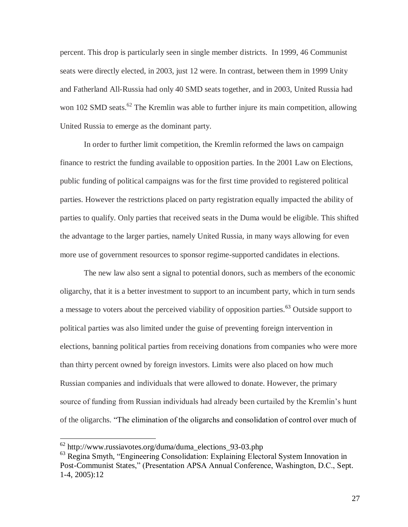percent. This drop is particularly seen in single member districts. In 1999, 46 Communist seats were directly elected, in 2003, just 12 were. In contrast, between them in 1999 Unity and Fatherland All-Russia had only 40 SMD seats together, and in 2003, United Russia had won 102 SMD seats.<sup>62</sup> The Kremlin was able to further injure its main competition, allowing United Russia to emerge as the dominant party.

In order to further limit competition, the Kremlin reformed the laws on campaign finance to restrict the funding available to opposition parties. In the 2001 Law on Elections, public funding of political campaigns was for the first time provided to registered political parties. However the restrictions placed on party registration equally impacted the ability of parties to qualify. Only parties that received seats in the Duma would be eligible. This shifted the advantage to the larger parties, namely United Russia, in many ways allowing for even more use of government resources to sponsor regime-supported candidates in elections.

The new law also sent a signal to potential donors, such as members of the economic oligarchy, that it is a better investment to support to an incumbent party, which in turn sends a message to voters about the perceived viability of opposition parties.<sup>63</sup> Outside support to political parties was also limited under the guise of preventing foreign intervention in elections, banning political parties from receiving donations from companies who were more than thirty percent owned by foreign investors. Limits were also placed on how much Russian companies and individuals that were allowed to donate. However, the primary source of funding from Russian individuals had already been curtailed by the Kremlin's hunt of the oligarchs. "The elimination of the oligarchs and consolidation of control over much of

 $62$  http://www.russiavotes.org/duma/duma\_elections\_93-03.php

<sup>&</sup>lt;sup>63</sup> Regina Smyth, "Engineering Consolidation: Explaining Electoral System Innovation in Post-Communist States," (Presentation APSA Annual Conference, Washington, D.C., Sept. 1-4, 2005):12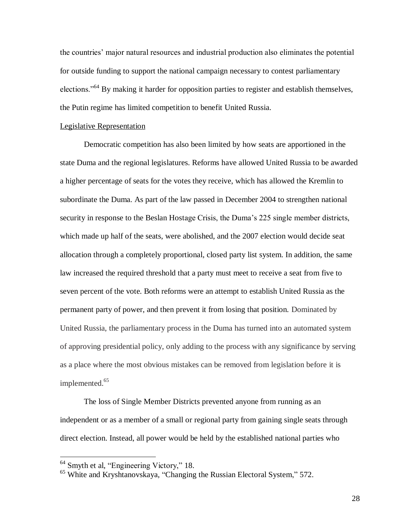the countries' major natural resources and industrial production also eliminates the potential for outside funding to support the national campaign necessary to contest parliamentary elections."<sup>64</sup> By making it harder for opposition parties to register and establish themselves, the Putin regime has limited competition to benefit United Russia.

#### Legislative Representation

Democratic competition has also been limited by how seats are apportioned in the state Duma and the regional legislatures. Reforms have allowed United Russia to be awarded a higher percentage of seats for the votes they receive, which has allowed the Kremlin to subordinate the Duma. As part of the law passed in December 2004 to strengthen national security in response to the Beslan Hostage Crisis, the Duma's 225 single member districts, which made up half of the seats, were abolished, and the 2007 election would decide seat allocation through a completely proportional, closed party list system. In addition, the same law increased the required threshold that a party must meet to receive a seat from five to seven percent of the vote. Both reforms were an attempt to establish United Russia as the permanent party of power, and then prevent it from losing that position. Dominated by United Russia, the parliamentary process in the Duma has turned into an automated system of approving presidential policy, only adding to the process with any significance by serving as a place where the most obvious mistakes can be removed from legislation before it is implemented.<sup>65</sup>

The loss of Single Member Districts prevented anyone from running as an independent or as a member of a small or regional party from gaining single seats through direct election. Instead, all power would be held by the established national parties who

<sup>&</sup>lt;sup>64</sup> Smyth et al, "Engineering Victory," 18.

<sup>&</sup>lt;sup>65</sup> White and Kryshtanovskaya, "Changing the Russian Electoral System," 572.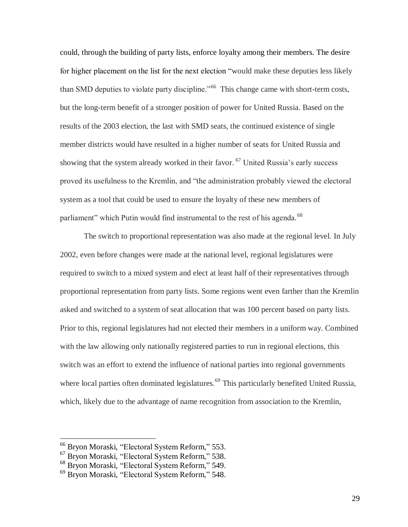could, through the building of party lists, enforce loyalty among their members. The desire for higher placement on the list for the next election "would make these deputies less likely than SMD deputies to violate party discipline."<sup>66</sup> This change came with short-term costs, but the long-term benefit of a stronger position of power for United Russia. Based on the results of the 2003 election, the last with SMD seats, the continued existence of single member districts would have resulted in a higher number of seats for United Russia and showing that the system already worked in their favor.  $67$  United Russia's early success proved its usefulness to the Kremlin, and "the administration probably viewed the electoral system as a tool that could be used to ensure the loyalty of these new members of parliament" which Putin would find instrumental to the rest of his agenda.<sup>68</sup>

The switch to proportional representation was also made at the regional level. In July 2002, even before changes were made at the national level, regional legislatures were required to switch to a mixed system and elect at least half of their representatives through proportional representation from party lists. Some regions went even farther than the Kremlin asked and switched to a system of seat allocation that was 100 percent based on party lists. Prior to this, regional legislatures had not elected their members in a uniform way. Combined with the law allowing only nationally registered parties to run in regional elections, this switch was an effort to extend the influence of national parties into regional governments where local parties often dominated legislatures.<sup>69</sup> This particularly benefited United Russia, which, likely due to the advantage of name recognition from association to the Kremlin,

<sup>66</sup> Bryon Moraski, "Electoral System Reform," 553.

<sup>67</sup> Bryon Moraski, "Electoral System Reform," 538.

<sup>68</sup> Bryon Moraski, "Electoral System Reform," 549.

<sup>69</sup> Bryon Moraski, "Electoral System Reform," 548.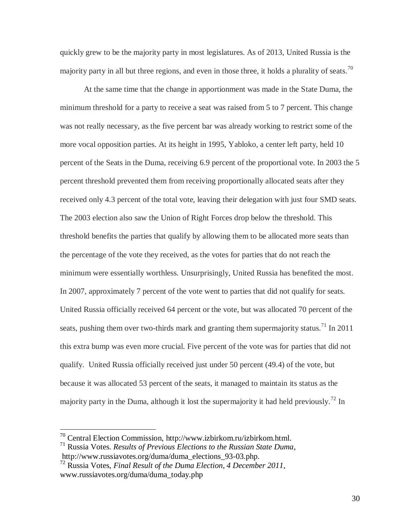quickly grew to be the majority party in most legislatures. As of 2013, United Russia is the majority party in all but three regions, and even in those three, it holds a plurality of seats.<sup>70</sup>

At the same time that the change in apportionment was made in the State Duma, the minimum threshold for a party to receive a seat was raised from 5 to 7 percent. This change was not really necessary, as the five percent bar was already working to restrict some of the more vocal opposition parties. At its height in 1995, Yabloko, a center left party, held 10 percent of the Seats in the Duma, receiving 6.9 percent of the proportional vote. In 2003 the 5 percent threshold prevented them from receiving proportionally allocated seats after they received only 4.3 percent of the total vote, leaving their delegation with just four SMD seats. The 2003 election also saw the Union of Right Forces drop below the threshold. This threshold benefits the parties that qualify by allowing them to be allocated more seats than the percentage of the vote they received, as the votes for parties that do not reach the minimum were essentially worthless. Unsurprisingly, United Russia has benefited the most. In 2007, approximately 7 percent of the vote went to parties that did not qualify for seats. United Russia officially received 64 percent or the vote, but was allocated 70 percent of the seats, pushing them over two-thirds mark and granting them supermajority status.<sup>71</sup> In 2011 this extra bump was even more crucial. Five percent of the vote was for parties that did not qualify. United Russia officially received just under 50 percent (49.4) of the vote, but because it was allocated 53 percent of the seats, it managed to maintain its status as the majority party in the Duma, although it lost the supermajority it had held previously.<sup>72</sup> In

 $70$  Central Election Commission, http://www.izbirkom.ru/izbirkom.html.

<sup>71</sup> Russia Votes. *Results of Previous Elections to the Russian State Duma*, http://www.russiavotes.org/duma/duma\_elections\_93-03.php.

<sup>72</sup> Russia Votes, *Final Result of the Duma Election, 4 December 2011*, www.russiavotes.org/duma/duma\_today.php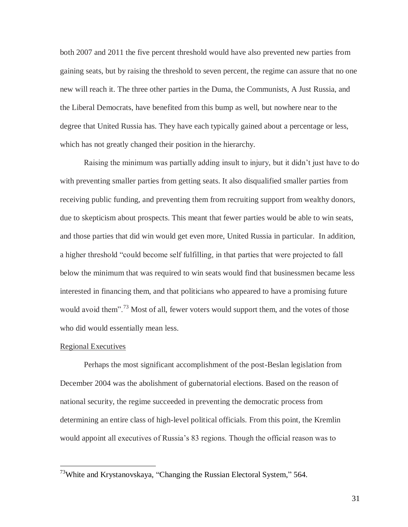both 2007 and 2011 the five percent threshold would have also prevented new parties from gaining seats, but by raising the threshold to seven percent, the regime can assure that no one new will reach it. The three other parties in the Duma, the Communists, A Just Russia, and the Liberal Democrats, have benefited from this bump as well, but nowhere near to the degree that United Russia has. They have each typically gained about a percentage or less, which has not greatly changed their position in the hierarchy.

Raising the minimum was partially adding insult to injury, but it didn't just have to do with preventing smaller parties from getting seats. It also disqualified smaller parties from receiving public funding, and preventing them from recruiting support from wealthy donors, due to skepticism about prospects. This meant that fewer parties would be able to win seats, and those parties that did win would get even more, United Russia in particular. In addition, a higher threshold "could become self fulfilling, in that parties that were projected to fall below the minimum that was required to win seats would find that businessmen became less interested in financing them, and that politicians who appeared to have a promising future would avoid them".<sup>73</sup> Most of all, fewer voters would support them, and the votes of those who did would essentially mean less.

#### Regional Executives

 $\overline{a}$ 

Perhaps the most significant accomplishment of the post-Beslan legislation from December 2004 was the abolishment of gubernatorial elections. Based on the reason of national security, the regime succeeded in preventing the democratic process from determining an entire class of high-level political officials. From this point, the Kremlin would appoint all executives of Russia's 83 regions. Though the official reason was to

 $^{73}$ White and Krystanovskaya, "Changing the Russian Electoral System," 564.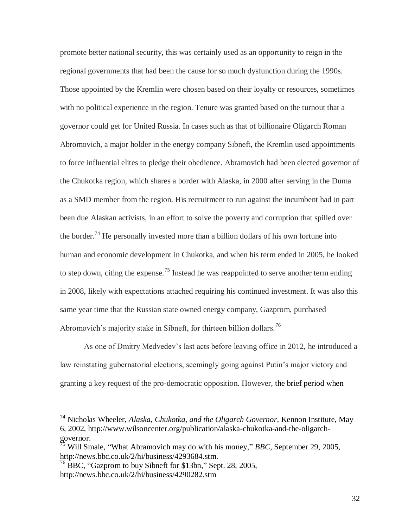promote better national security, this was certainly used as an opportunity to reign in the regional governments that had been the cause for so much dysfunction during the 1990s. Those appointed by the Kremlin were chosen based on their loyalty or resources, sometimes with no political experience in the region. Tenure was granted based on the turnout that a governor could get for United Russia. In cases such as that of billionaire Oligarch Roman Abromovich, a major holder in the energy company Sibneft, the Kremlin used appointments to force influential elites to pledge their obedience. Abramovich had been elected governor of the Chukotka region, which shares a border with Alaska, in 2000 after serving in the Duma as a SMD member from the region. His recruitment to run against the incumbent had in part been due Alaskan activists, in an effort to solve the poverty and corruption that spilled over the border.<sup>74</sup> He personally invested more than a billion dollars of his own fortune into human and economic development in Chukotka, and when his term ended in 2005, he looked to step down, citing the expense.<sup>75</sup> Instead he was reappointed to serve another term ending in 2008, likely with expectations attached requiring his continued investment. It was also this same year time that the Russian state owned energy company, Gazprom, purchased Abromovich's majority stake in Sibneft, for thirteen billion dollars.<sup>76</sup>

As one of Dmitry Medvedev's last acts before leaving office in 2012, he introduced a law reinstating gubernatorial elections, seemingly going against Putin's major victory and granting a key request of the pro-democratic opposition. However, the brief period when

<sup>74</sup> Nicholas Wheeler, *Alaska, Chukotka, and the Oligarch Governor,* Kennon Institute, May 6, 2002*,* http://www.wilsoncenter.org/publication/alaska-chukotka-and-the-oligarchgovernor.

<sup>75</sup> Will Smale, "What Abramovich may do with his money," *BBC*, September 29, 2005, http://news.bbc.co.uk/2/hi/business/4293684.stm.

 $^{76}$  BBC, "Gazprom to buy Sibneft for \$13bn," Sept. 28, 2005, http://news.bbc.co.uk/2/hi/business/4290282.stm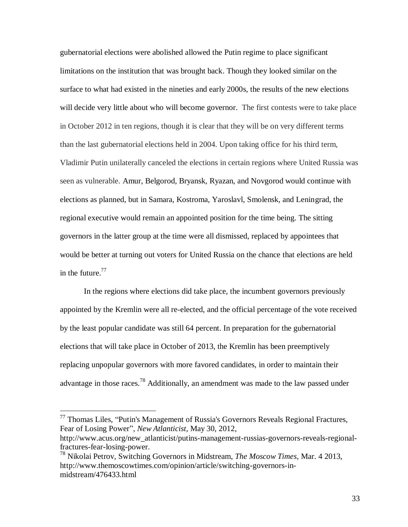gubernatorial elections were abolished allowed the Putin regime to place significant limitations on the institution that was brought back. Though they looked similar on the surface to what had existed in the nineties and early 2000s, the results of the new elections will decide very little about who will become governor. The first contests were to take place in October 2012 in ten regions, though it is clear that they will be on very different terms than the last gubernatorial elections held in 2004. Upon taking office for his third term, Vladimir Putin unilaterally canceled the elections in certain regions where United Russia was seen as vulnerable. Amur, Belgorod, Bryansk, Ryazan, and Novgorod would continue with elections as planned, but in Samara, Kostroma, Yaroslavl, Smolensk, and Leningrad, the regional executive would remain an appointed position for the time being. The sitting governors in the latter group at the time were all dismissed, replaced by appointees that would be better at turning out voters for United Russia on the chance that elections are held in the future. $77$ 

In the regions where elections did take place, the incumbent governors previously appointed by the Kremlin were all re-elected, and the official percentage of the vote received by the least popular candidate was still 64 percent. In preparation for the gubernatorial elections that will take place in October of 2013, the Kremlin has been preemptively replacing unpopular governors with more favored candidates, in order to maintain their advantage in those races.<sup>78</sup> Additionally, an amendment was made to the law passed under

<sup>77</sup> Thomas Liles, "Putin's Management of Russia's Governors Reveals Regional Fractures, Fear of Losing Power", *New Atlanticist*, May 30, 2012,

http://www.acus.org/new\_atlanticist/putins-management-russias-governors-reveals-regionalfractures-fear-losing-power.

<sup>78</sup> Nikolai Petrov, Switching Governors in Midstream, *The Moscow Times,* Mar. 4 2013, http://www.themoscowtimes.com/opinion/article/switching-governors-inmidstream/476433.html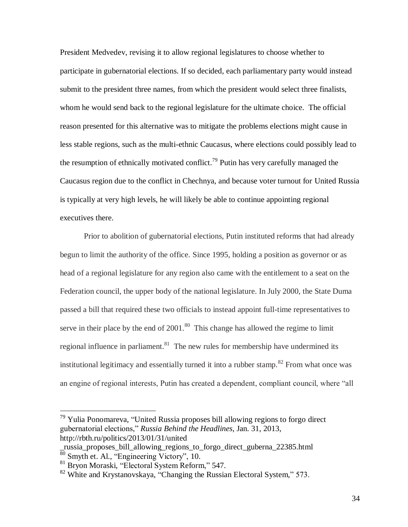President Medvedev, revising it to allow regional legislatures to choose whether to participate in gubernatorial elections. If so decided, each parliamentary party would instead submit to the president three names, from which the president would select three finalists, whom he would send back to the regional legislature for the ultimate choice. The official reason presented for this alternative was to mitigate the problems elections might cause in less stable regions, such as the multi-ethnic Caucasus, where elections could possibly lead to the resumption of ethnically motivated conflict.<sup>79</sup> Putin has very carefully managed the Caucasus region due to the conflict in Chechnya, and because voter turnout for United Russia is typically at very high levels, he will likely be able to continue appointing regional executives there.

Prior to abolition of gubernatorial elections, Putin instituted reforms that had already begun to limit the authority of the office. Since 1995, holding a position as governor or as head of a regional legislature for any region also came with the entitlement to a seat on the Federation council, the upper body of the national legislature. In July 2000, the State Duma passed a bill that required these two officials to instead appoint full-time representatives to serve in their place by the end of  $2001$ .<sup>80</sup> This change has allowed the regime to limit regional influence in parliament. $81$  The new rules for membership have undermined its institutional legitimacy and essentially turned it into a rubber stamp.<sup>82</sup> From what once was an engine of regional interests, Putin has created a dependent, compliant council, where "all

 $79$  Yulia Ponomareva, "United Russia proposes bill allowing regions to forgo direct gubernatorial elections," *Russia Behind the Headlines*, Jan. 31, 2013, http://rbth.ru/politics/2013/01/31/united

\_russia\_proposes\_bill\_allowing\_regions\_to\_forgo\_direct\_guberna\_22385.html  $\frac{1}{80}$  Smyth et. Al., "Engineering Victory", 10.

<sup>81</sup> Bryon Moraski, "Electoral System Reform," 547.

 $82$  White and Krystanovskaya, "Changing the Russian Electoral System," 573.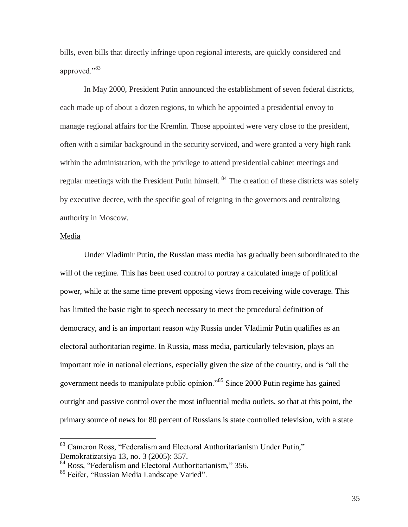bills, even bills that directly infringe upon regional interests, are quickly considered and approved."<sup>83</sup>

In May 2000, President Putin announced the establishment of seven federal districts, each made up of about a dozen regions, to which he appointed a presidential envoy to manage regional affairs for the Kremlin. Those appointed were very close to the president, often with a similar background in the security serviced, and were granted a very high rank within the administration, with the privilege to attend presidential cabinet meetings and regular meetings with the President Putin himself. <sup>84</sup> The creation of these districts was solely by executive decree, with the specific goal of reigning in the governors and centralizing authority in Moscow.

#### Media

 $\overline{a}$ 

Under Vladimir Putin, the Russian mass media has gradually been subordinated to the will of the regime. This has been used control to portray a calculated image of political power, while at the same time prevent opposing views from receiving wide coverage. This has limited the basic right to speech necessary to meet the procedural definition of democracy, and is an important reason why Russia under Vladimir Putin qualifies as an electoral authoritarian regime. In Russia, mass media, particularly television, plays an important role in national elections, especially given the size of the country, and is "all the government needs to manipulate public opinion."<sup>85</sup> Since 2000 Putin regime has gained outright and passive control over the most influential media outlets, so that at this point, the primary source of news for 80 percent of Russians is state controlled television, with a state

35

<sup>&</sup>lt;sup>83</sup> Cameron Ross, "Federalism and Electoral Authoritarianism Under Putin," Demokratizatsiya 13, no. 3 (2005): 357.

<sup>84</sup> Ross, "Federalism and Electoral Authoritarianism," 356.

<sup>&</sup>lt;sup>85</sup> Feifer, "Russian Media Landscape Varied".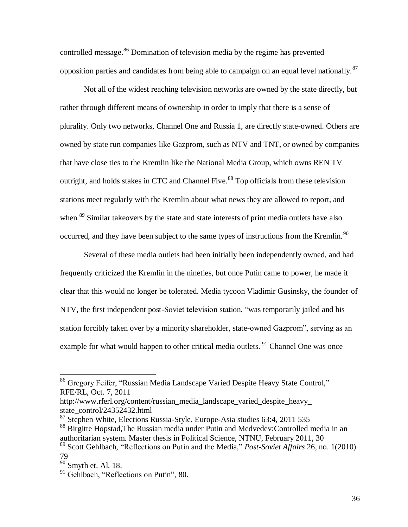controlled message.<sup>86</sup> Domination of television media by the regime has prevented opposition parties and candidates from being able to campaign on an equal level nationally.  $87$ 

Not all of the widest reaching television networks are owned by the state directly, but rather through different means of ownership in order to imply that there is a sense of plurality. Only two networks, Channel One and Russia 1, are directly state-owned. Others are owned by state run companies like Gazprom, such as NTV and TNT, or owned by companies that have close ties to the Kremlin like the National Media Group, which owns REN TV outright, and holds stakes in CTC and Channel Five.<sup>88</sup> Top officials from these television stations meet regularly with the Kremlin about what news they are allowed to report, and when.<sup>89</sup> Similar takeovers by the state and state interests of print media outlets have also occurred, and they have been subject to the same types of instructions from the Kremlin.<sup>90</sup>

Several of these media outlets had been initially been independently owned, and had frequently criticized the Kremlin in the nineties, but once Putin came to power, he made it clear that this would no longer be tolerated. Media tycoon Vladimir Gusinsky, the founder of NTV, the first independent post-Soviet television station, "was temporarily jailed and his station forcibly taken over by a minority shareholder, state-owned Gazprom", serving as an example for what would happen to other critical media outlets.  $91$  Channel One was once

<sup>&</sup>lt;sup>86</sup> Gregory Feifer, "Russian Media Landscape Varied Despite Heavy State Control," RFE/RL, Oct. 7, 2011

http://www.rferl.org/content/russian\_media\_landscape\_varied\_despite\_heavy\_ state\_control/24352432.html

 $87$  Stephen White, Elections Russia-Style. Europe-Asia studies 63:4, 2011 535

<sup>88</sup> Birgitte Hopstad,The Russian media under Putin and Medvedev:Controlled media in an authoritarian system. Master thesis in Political Science, NTNU, February 2011, 30

<sup>89</sup> Scott Gehlbach, "Reflections on Putin and the Media," *Post-Soviet Affairs* 26, no. 1(2010) 79

<sup>90</sup> Smyth et. Al. 18.

<sup>&</sup>lt;sup>91</sup> Gehlbach, "Reflections on Putin", 80.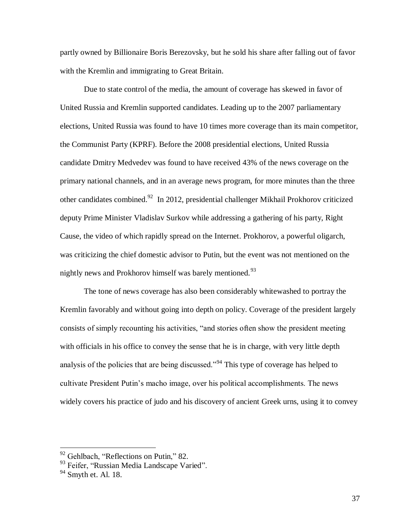partly owned by Billionaire Boris Berezovsky, but he sold his share after falling out of favor with the Kremlin and immigrating to Great Britain.

Due to state control of the media, the amount of coverage has skewed in favor of United Russia and Kremlin supported candidates. Leading up to the 2007 parliamentary elections, United Russia was found to have 10 times more coverage than its main competitor, the Communist Party (KPRF). Before the 2008 presidential elections, United Russia candidate Dmitry Medvedev was found to have received 43% of the news coverage on the primary national channels, and in an average news program, for more minutes than the three other candidates combined.<sup>92</sup> In 2012, presidential challenger Mikhail Prokhorov criticized deputy Prime Minister Vladislav Surkov while addressing a gathering of his party, Right Cause, the video of which rapidly spread on the Internet. Prokhorov, a powerful oligarch, was criticizing the chief domestic advisor to Putin, but the event was not mentioned on the nightly news and Prokhorov himself was barely mentioned.<sup>93</sup>

The tone of news coverage has also been considerably whitewashed to portray the Kremlin favorably and without going into depth on policy. Coverage of the president largely consists of simply recounting his activities, "and stories often show the president meeting with officials in his office to convey the sense that he is in charge, with very little depth analysis of the policies that are being discussed."<sup>94</sup> This type of coverage has helped to cultivate President Putin's macho image, over his political accomplishments. The news widely covers his practice of judo and his discovery of ancient Greek urns, using it to convey

<sup>&</sup>lt;sup>92</sup> Gehlbach, "Reflections on Putin," 82.

<sup>&</sup>lt;sup>93</sup> Feifer, "Russian Media Landscape Varied".

 $94$  Smyth et. Al. 18.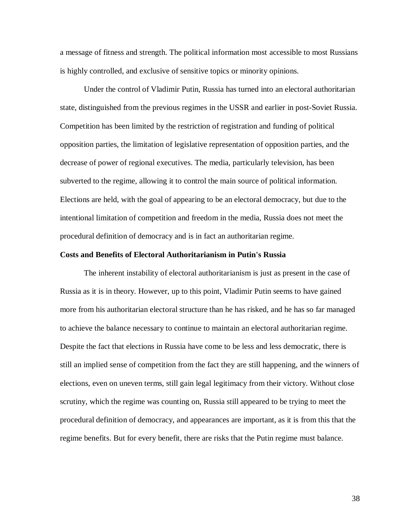a message of fitness and strength. The political information most accessible to most Russians is highly controlled, and exclusive of sensitive topics or minority opinions.

Under the control of Vladimir Putin, Russia has turned into an electoral authoritarian state, distinguished from the previous regimes in the USSR and earlier in post-Soviet Russia. Competition has been limited by the restriction of registration and funding of political opposition parties, the limitation of legislative representation of opposition parties, and the decrease of power of regional executives. The media, particularly television, has been subverted to the regime, allowing it to control the main source of political information. Elections are held, with the goal of appearing to be an electoral democracy, but due to the intentional limitation of competition and freedom in the media, Russia does not meet the procedural definition of democracy and is in fact an authoritarian regime.

#### **Costs and Benefits of Electoral Authoritarianism in Putin's Russia**

The inherent instability of electoral authoritarianism is just as present in the case of Russia as it is in theory. However, up to this point, Vladimir Putin seems to have gained more from his authoritarian electoral structure than he has risked, and he has so far managed to achieve the balance necessary to continue to maintain an electoral authoritarian regime. Despite the fact that elections in Russia have come to be less and less democratic, there is still an implied sense of competition from the fact they are still happening, and the winners of elections, even on uneven terms, still gain legal legitimacy from their victory. Without close scrutiny, which the regime was counting on, Russia still appeared to be trying to meet the procedural definition of democracy, and appearances are important, as it is from this that the regime benefits. But for every benefit, there are risks that the Putin regime must balance.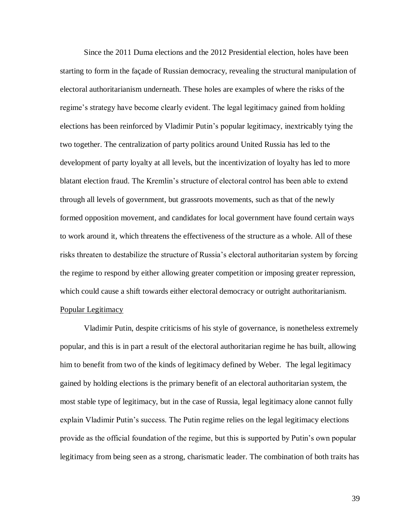Since the 2011 Duma elections and the 2012 Presidential election, holes have been starting to form in the façade of Russian democracy, revealing the structural manipulation of electoral authoritarianism underneath. These holes are examples of where the risks of the regime's strategy have become clearly evident. The legal legitimacy gained from holding elections has been reinforced by Vladimir Putin's popular legitimacy, inextricably tying the two together. The centralization of party politics around United Russia has led to the development of party loyalty at all levels, but the incentivization of loyalty has led to more blatant election fraud. The Kremlin's structure of electoral control has been able to extend through all levels of government, but grassroots movements, such as that of the newly formed opposition movement, and candidates for local government have found certain ways to work around it, which threatens the effectiveness of the structure as a whole. All of these risks threaten to destabilize the structure of Russia's electoral authoritarian system by forcing the regime to respond by either allowing greater competition or imposing greater repression, which could cause a shift towards either electoral democracy or outright authoritarianism. Popular Legitimacy

Vladimir Putin, despite criticisms of his style of governance, is nonetheless extremely popular, and this is in part a result of the electoral authoritarian regime he has built, allowing him to benefit from two of the kinds of legitimacy defined by Weber. The legal legitimacy gained by holding elections is the primary benefit of an electoral authoritarian system, the most stable type of legitimacy, but in the case of Russia, legal legitimacy alone cannot fully explain Vladimir Putin's success. The Putin regime relies on the legal legitimacy elections provide as the official foundation of the regime, but this is supported by Putin's own popular legitimacy from being seen as a strong, charismatic leader. The combination of both traits has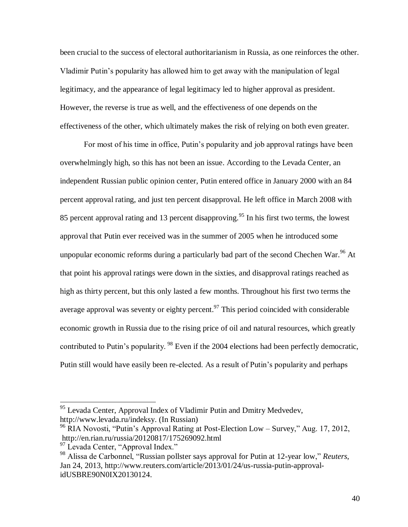been crucial to the success of electoral authoritarianism in Russia, as one reinforces the other. Vladimir Putin's popularity has allowed him to get away with the manipulation of legal legitimacy, and the appearance of legal legitimacy led to higher approval as president. However, the reverse is true as well, and the effectiveness of one depends on the effectiveness of the other, which ultimately makes the risk of relying on both even greater.

For most of his time in office, Putin's popularity and job approval ratings have been overwhelmingly high, so this has not been an issue. According to the Levada Center, an independent Russian public opinion center, Putin entered office in January 2000 with an 84 percent approval rating, and just ten percent disapproval. He left office in March 2008 with 85 percent approval rating and 13 percent disapproving.<sup>95</sup> In his first two terms, the lowest approval that Putin ever received was in the summer of 2005 when he introduced some unpopular economic reforms during a particularly bad part of the second Chechen War.<sup>96</sup> At that point his approval ratings were down in the sixties, and disapproval ratings reached as high as thirty percent, but this only lasted a few months. Throughout his first two terms the average approval was seventy or eighty percent.<sup>97</sup> This period coincided with considerable economic growth in Russia due to the rising price of oil and natural resources, which greatly contributed to Putin's popularity. <sup>98</sup> Even if the 2004 elections had been perfectly democratic, Putin still would have easily been re-elected. As a result of Putin's popularity and perhaps

<sup>&</sup>lt;sup>95</sup> Levada Center, Approval Index of Vladimir Putin and Dmitry Medvedev, http://www.levada.ru/indeksy. (In Russian)

<sup>96</sup> RIA Novosti, "Putin's Approval Rating at Post-Election Low – Survey," Aug. 17, 2012, http://en.rian.ru/russia/20120817/175269092.html

<sup>&</sup>lt;sup>97</sup> Levada Center, "Approval Index."

<sup>98</sup> Alissa de Carbonnel, "Russian pollster says approval for Putin at 12-year low," *Reuters*, Jan 24, 2013, http://www.reuters.com/article/2013/01/24/us-russia-putin-approvalidUSBRE90N0IX20130124.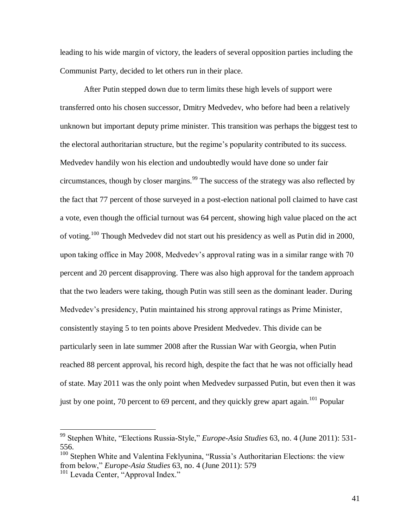leading to his wide margin of victory, the leaders of several opposition parties including the Communist Party, decided to let others run in their place.

After Putin stepped down due to term limits these high levels of support were transferred onto his chosen successor, Dmitry Medvedev, who before had been a relatively unknown but important deputy prime minister. This transition was perhaps the biggest test to the electoral authoritarian structure, but the regime's popularity contributed to its success. Medvedev handily won his election and undoubtedly would have done so under fair circumstances, though by closer margins.<sup>99</sup> The success of the strategy was also reflected by the fact that 77 percent of those surveyed in a post-election national poll claimed to have cast a vote, even though the official turnout was 64 percent, showing high value placed on the act of voting.<sup>100</sup> Though Medvedev did not start out his presidency as well as Putin did in 2000, upon taking office in May 2008, Medvedev's approval rating was in a similar range with 70 percent and 20 percent disapproving. There was also high approval for the tandem approach that the two leaders were taking, though Putin was still seen as the dominant leader. During Medvedev's presidency, Putin maintained his strong approval ratings as Prime Minister, consistently staying 5 to ten points above President Medvedev. This divide can be particularly seen in late summer 2008 after the Russian War with Georgia, when Putin reached 88 percent approval, his record high, despite the fact that he was not officially head of state. May 2011 was the only point when Medvedev surpassed Putin, but even then it was just by one point, 70 percent to 69 percent, and they quickly grew apart again.<sup>101</sup> Popular

<sup>99</sup> Stephen White, "Elections Russia-Style," *Europe-Asia Studies* 63, no. 4 (June 2011): 531- 556.

<sup>&</sup>lt;sup>100</sup> Stephen White and Valentina Feklyunina, "Russia's Authoritarian Elections: the view from below," *Europe-Asia Studies* 63, no. 4 (June 2011): 579

<sup>&</sup>lt;sup>101</sup> Levada Center, "Approval Index."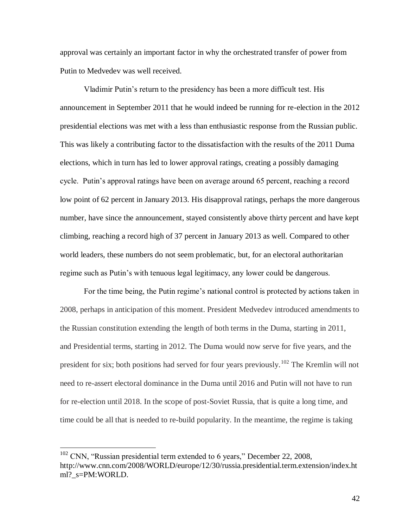approval was certainly an important factor in why the orchestrated transfer of power from Putin to Medvedev was well received.

Vladimir Putin's return to the presidency has been a more difficult test. His announcement in September 2011 that he would indeed be running for re-election in the 2012 presidential elections was met with a less than enthusiastic response from the Russian public. This was likely a contributing factor to the dissatisfaction with the results of the 2011 Duma elections, which in turn has led to lower approval ratings, creating a possibly damaging cycle. Putin's approval ratings have been on average around 65 percent, reaching a record low point of 62 percent in January 2013. His disapproval ratings, perhaps the more dangerous number, have since the announcement, stayed consistently above thirty percent and have kept climbing, reaching a record high of 37 percent in January 2013 as well. Compared to other world leaders, these numbers do not seem problematic, but, for an electoral authoritarian regime such as Putin's with tenuous legal legitimacy, any lower could be dangerous.

For the time being, the Putin regime's national control is protected by actions taken in 2008, perhaps in anticipation of this moment. President Medvedev introduced amendments to the Russian constitution extending the length of both terms in the Duma, starting in 2011, and Presidential terms, starting in 2012. The Duma would now serve for five years, and the president for six; both positions had served for four years previously.<sup>102</sup> The Kremlin will not need to re-assert electoral dominance in the Duma until 2016 and Putin will not have to run for re-election until 2018. In the scope of post-Soviet Russia, that is quite a long time, and time could be all that is needed to re-build popularity. In the meantime, the regime is taking

 $102$  CNN, "Russian presidential term extended to 6 years," December 22, 2008, http://www.cnn.com/2008/WORLD/europe/12/30/russia.presidential.term.extension/index.ht ml? s=PM:WORLD.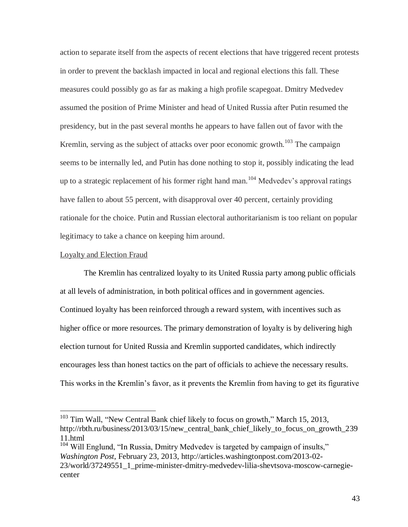action to separate itself from the aspects of recent elections that have triggered recent protests in order to prevent the backlash impacted in local and regional elections this fall. These measures could possibly go as far as making a high profile scapegoat. Dmitry Medvedev assumed the position of Prime Minister and head of United Russia after Putin resumed the presidency, but in the past several months he appears to have fallen out of favor with the Kremlin, serving as the subject of attacks over poor economic growth.<sup>103</sup> The campaign seems to be internally led, and Putin has done nothing to stop it, possibly indicating the lead up to a strategic replacement of his former right hand man.<sup>104</sup> Medvedev's approval ratings have fallen to about 55 percent, with disapproval over 40 percent, certainly providing rationale for the choice. Putin and Russian electoral authoritarianism is too reliant on popular legitimacy to take a chance on keeping him around.

#### Loyalty and Election Fraud

 $\overline{a}$ 

The Kremlin has centralized loyalty to its United Russia party among public officials at all levels of administration, in both political offices and in government agencies. Continued loyalty has been reinforced through a reward system, with incentives such as higher office or more resources. The primary demonstration of loyalty is by delivering high election turnout for United Russia and Kremlin supported candidates, which indirectly encourages less than honest tactics on the part of officials to achieve the necessary results. This works in the Kremlin's favor, as it prevents the Kremlin from having to get its figurative

<sup>104</sup> Will Englund, "In Russia, Dmitry Medvedev is targeted by campaign of insults," *Washington Post*, February 23, 2013, http://articles.washingtonpost.com/2013-02- 23/world/37249551\_1\_prime-minister-dmitry-medvedev-lilia-shevtsova-moscow-carnegiecenter

<sup>&</sup>lt;sup>103</sup> Tim Wall, "New Central Bank chief likely to focus on growth," March 15, 2013, http://rbth.ru/business/2013/03/15/new central bank chief likely to focus on growth 239 11.html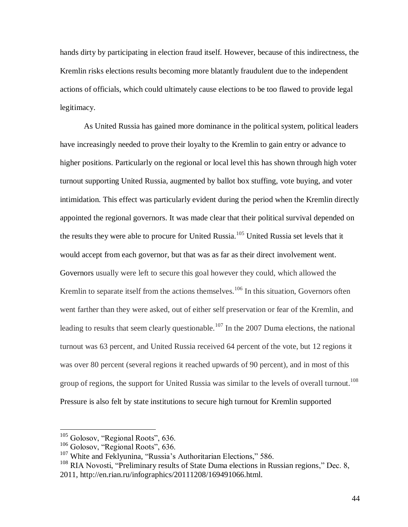hands dirty by participating in election fraud itself. However, because of this indirectness, the Kremlin risks elections results becoming more blatantly fraudulent due to the independent actions of officials, which could ultimately cause elections to be too flawed to provide legal legitimacy.

As United Russia has gained more dominance in the political system, political leaders have increasingly needed to prove their loyalty to the Kremlin to gain entry or advance to higher positions. Particularly on the regional or local level this has shown through high voter turnout supporting United Russia, augmented by ballot box stuffing, vote buying, and voter intimidation. This effect was particularly evident during the period when the Kremlin directly appointed the regional governors. It was made clear that their political survival depended on the results they were able to procure for United Russia.<sup>105</sup> United Russia set levels that it would accept from each governor, but that was as far as their direct involvement went. Governors usually were left to secure this goal however they could, which allowed the Kremlin to separate itself from the actions themselves.<sup>106</sup> In this situation, Governors often went farther than they were asked, out of either self preservation or fear of the Kremlin, and leading to results that seem clearly questionable.<sup>107</sup> In the 2007 Duma elections, the national turnout was 63 percent, and United Russia received 64 percent of the vote, but 12 regions it was over 80 percent (several regions it reached upwards of 90 percent), and in most of this group of regions, the support for United Russia was similar to the levels of overall turnout.<sup>108</sup> Pressure is also felt by state institutions to secure high turnout for Kremlin supported

 $105$  Golosov, "Regional Roots", 636.

<sup>106</sup> Golosov, "Regional Roots", 636.

<sup>&</sup>lt;sup>107</sup> White and Feklyunina, "Russia's Authoritarian Elections," 586.

 $108$  RIA Novosti, "Preliminary results of State Duma elections in Russian regions," Dec. 8, 2011, http://en.rian.ru/infographics/20111208/169491066.html.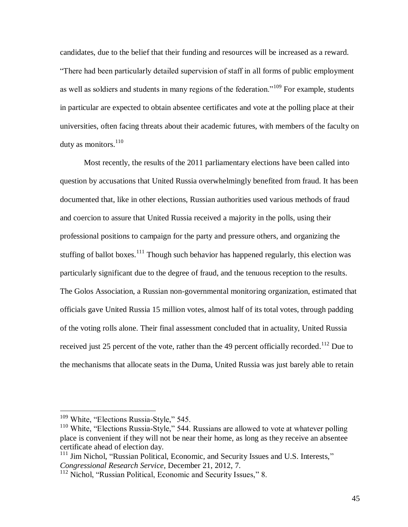candidates, due to the belief that their funding and resources will be increased as a reward. "There had been particularly detailed supervision of staff in all forms of public employment as well as soldiers and students in many regions of the federation."<sup>109</sup> For example, students in particular are expected to obtain absentee certificates and vote at the polling place at their universities, often facing threats about their academic futures, with members of the faculty on duty as monitors. $110$ 

Most recently, the results of the 2011 parliamentary elections have been called into question by accusations that United Russia overwhelmingly benefited from fraud. It has been documented that, like in other elections, Russian authorities used various methods of fraud and coercion to assure that United Russia received a majority in the polls, using their professional positions to campaign for the party and pressure others, and organizing the stuffing of ballot boxes.<sup>111</sup> Though such behavior has happened regularly, this election was particularly significant due to the degree of fraud, and the tenuous reception to the results. The Golos Association, a Russian non-governmental monitoring organization, estimated that officials gave United Russia 15 million votes, almost half of its total votes, through padding of the voting rolls alone. Their final assessment concluded that in actuality, United Russia received just 25 percent of the vote, rather than the 49 percent officially recorded.<sup>112</sup> Due to the mechanisms that allocate seats in the Duma, United Russia was just barely able to retain

<sup>&</sup>lt;sup>109</sup> White, "Elections Russia-Style," 545.

 $110$  White, "Elections Russia-Style," 544. Russians are allowed to vote at whatever polling place is convenient if they will not be near their home, as long as they receive an absentee certificate ahead of election day.

<sup>&</sup>lt;sup>111</sup> Jim Nichol, "Russian Political, Economic, and Security Issues and U.S. Interests," *Congressional Research Service*, December 21, 2012, 7.

<sup>&</sup>lt;sup>112</sup> Nichol, "Russian Political, Economic and Security Issues," 8.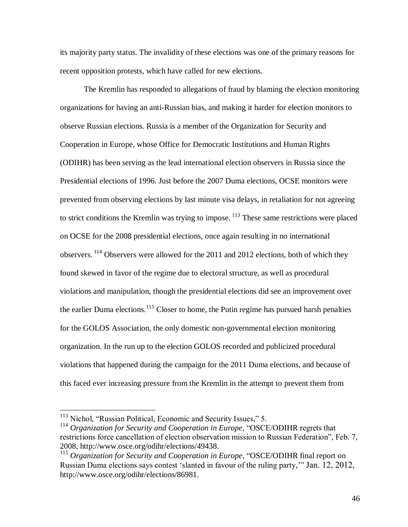its majority party status. The invalidity of these elections was one of the primary reasons for recent opposition protests, which have called for new elections.

The Kremlin has responded to allegations of fraud by blaming the election monitoring organizations for having an anti-Russian bias, and making it harder for election monitors to observe Russian elections. Russia is a member of the Organization for Security and Cooperation in Europe, whose Office for Democratic Institutions and Human Rights (ODIHR) has been serving as the lead international election observers in Russia since the Presidential elections of 1996. Just before the 2007 Duma elections, OCSE monitors were prevented from observing elections by last minute visa delays, in retaliation for not agreeing to strict conditions the Kremlin was trying to impose. <sup>113</sup> These same restrictions were placed on OCSE for the 2008 presidential elections, once again resulting in no international observers.  $^{114}$  Observers were allowed for the 2011 and 2012 elections, both of which they found skewed in favor of the regime due to electoral structure, as well as procedural violations and manipulation, though the presidential elections did see an improvement over the earlier Duma elections.<sup>115</sup> Closer to home, the Putin regime has pursued harsh penalties for the GOLOS Association, the only domestic non-governmental election monitoring organization. In the run up to the election GOLOS recorded and publicized procedural violations that happened during the campaign for the 2011 Duma elections, and because of this faced ever increasing pressure from the Kremlin in the attempt to prevent them from

<sup>&</sup>lt;sup>113</sup> Nichol, "Russian Political, Economic and Security Issues," 5.

<sup>114</sup> *Organization for Security and Cooperation in Europe*, "OSCE/ODIHR regrets that restrictions force cancellation of election observation mission to Russian Federation", Feb. 7, 2008, http://www.osce.org/odihr/elections/49438.

<sup>&</sup>lt;sup>115</sup> Organization for Security and Cooperation in Europe, "OSCE/ODIHR final report on Russian Duma elections says contest 'slanted in favour of the ruling party,'" Jan. 12, 2012, http://www.osce.org/odihr/elections/86981.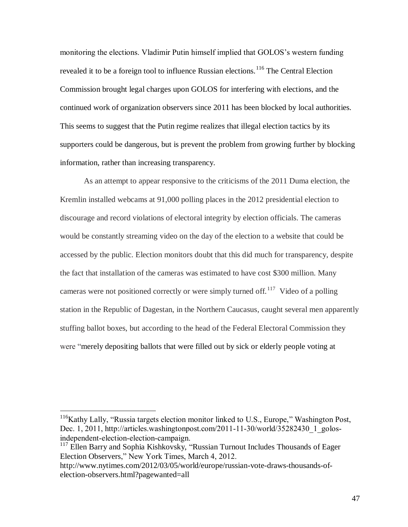monitoring the elections. Vladimir Putin himself implied that GOLOS's western funding revealed it to be a foreign tool to influence Russian elections.<sup>116</sup> The Central Election Commission brought legal charges upon GOLOS for interfering with elections, and the continued work of organization observers since 2011 has been blocked by local authorities. This seems to suggest that the Putin regime realizes that illegal election tactics by its supporters could be dangerous, but is prevent the problem from growing further by blocking information, rather than increasing transparency.

As an attempt to appear responsive to the criticisms of the 2011 Duma election, the Kremlin installed webcams at 91,000 polling places in the 2012 presidential election to discourage and record violations of electoral integrity by election officials. The cameras would be constantly streaming video on the day of the election to a website that could be accessed by the public. Election monitors doubt that this did much for transparency, despite the fact that installation of the cameras was estimated to have cost \$300 million. Many cameras were not positioned correctly or were simply turned off.<sup>117</sup> Video of a polling station in the Republic of Dagestan, in the Northern Caucasus, caught several men apparently stuffing ballot boxes, but according to the head of the Federal Electoral Commission they were "merely depositing ballots that were filled out by sick or elderly people voting at

<sup>&</sup>lt;sup>116</sup>Kathy Lally, "Russia targets election monitor linked to U.S., Europe," Washington Post, Dec. 1, 2011, http://articles.washingtonpost.com/2011-11-30/world/35282430\_1\_golosindependent-election-election-campaign.

<sup>&</sup>lt;sup>117</sup> Ellen Barry and Sophia Kishkovsky, "Russian Turnout Includes Thousands of Eager Election Observers," New York Times, March 4, 2012.

http://www.nytimes.com/2012/03/05/world/europe/russian-vote-draws-thousands-ofelection-observers.html?pagewanted=all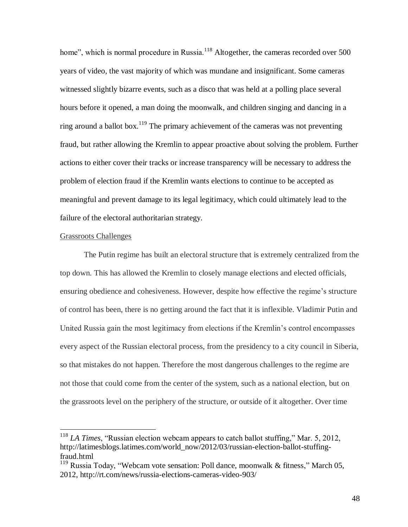home", which is normal procedure in Russia.<sup>118</sup> Altogether, the cameras recorded over 500 years of video, the vast majority of which was mundane and insignificant. Some cameras witnessed slightly bizarre events, such as a disco that was held at a polling place several hours before it opened, a man doing the moonwalk, and children singing and dancing in a ring around a ballot box.<sup>119</sup> The primary achievement of the cameras was not preventing fraud, but rather allowing the Kremlin to appear proactive about solving the problem. Further actions to either cover their tracks or increase transparency will be necessary to address the problem of election fraud if the Kremlin wants elections to continue to be accepted as meaningful and prevent damage to its legal legitimacy, which could ultimately lead to the failure of the electoral authoritarian strategy.

#### Grassroots Challenges

 $\overline{a}$ 

The Putin regime has built an electoral structure that is extremely centralized from the top down. This has allowed the Kremlin to closely manage elections and elected officials, ensuring obedience and cohesiveness. However, despite how effective the regime's structure of control has been, there is no getting around the fact that it is inflexible. Vladimir Putin and United Russia gain the most legitimacy from elections if the Kremlin's control encompasses every aspect of the Russian electoral process, from the presidency to a city council in Siberia, so that mistakes do not happen. Therefore the most dangerous challenges to the regime are not those that could come from the center of the system, such as a national election, but on the grassroots level on the periphery of the structure, or outside of it altogether. Over time

<sup>118</sup> *LA Times*, "Russian election webcam appears to catch ballot stuffing," Mar. 5, 2012, http://latimesblogs.latimes.com/world\_now/2012/03/russian-election-ballot-stuffingfraud.html

<sup>&</sup>lt;sup>119</sup> Russia Today, "Webcam vote sensation: Poll dance, moonwalk & fitness," March 05, 2012, http://rt.com/news/russia-elections-cameras-video-903/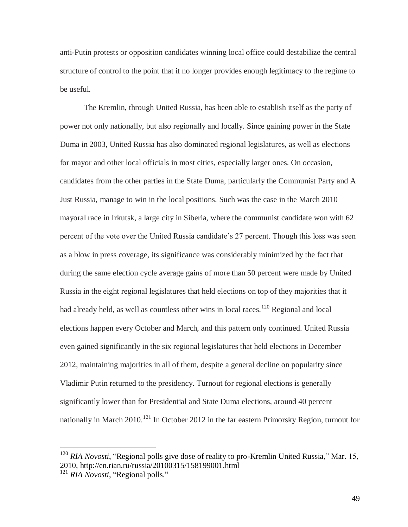anti-Putin protests or opposition candidates winning local office could destabilize the central structure of control to the point that it no longer provides enough legitimacy to the regime to be useful.

The Kremlin, through United Russia, has been able to establish itself as the party of power not only nationally, but also regionally and locally. Since gaining power in the State Duma in 2003, United Russia has also dominated regional legislatures, as well as elections for mayor and other local officials in most cities, especially larger ones. On occasion, candidates from the other parties in the State Duma, particularly the Communist Party and A Just Russia, manage to win in the local positions. Such was the case in the March 2010 mayoral race in Irkutsk, a large city in Siberia, where the communist candidate won with 62 percent of the vote over the United Russia candidate's 27 percent. Though this loss was seen as a blow in press coverage, its significance was considerably minimized by the fact that during the same election cycle average gains of more than 50 percent were made by United Russia in the eight regional legislatures that held elections on top of they majorities that it had already held, as well as countless other wins in local races.<sup>120</sup> Regional and local elections happen every October and March, and this pattern only continued. United Russia even gained significantly in the six regional legislatures that held elections in December 2012, maintaining majorities in all of them, despite a general decline on popularity since Vladimir Putin returned to the presidency. Turnout for regional elections is generally significantly lower than for Presidential and State Duma elections, around 40 percent nationally in March 2010.<sup>121</sup> In October 2012 in the far eastern Primorsky Region, turnout for

<sup>&</sup>lt;sup>120</sup> *RIA Novosti*, "Regional polls give dose of reality to pro-Kremlin United Russia," Mar. 15, 2010, http://en.rian.ru/russia/20100315/158199001.html

<sup>&</sup>lt;sup>121</sup> *RIA Novosti*, "Regional polls."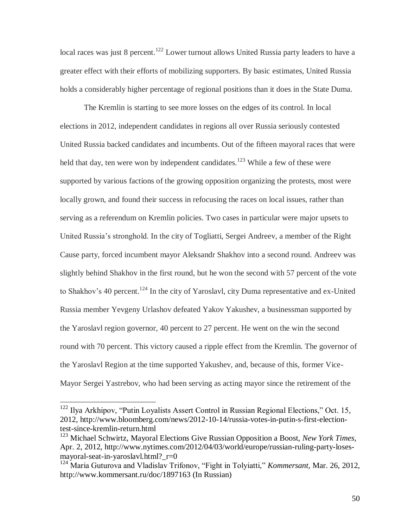local races was just 8 percent.<sup>122</sup> Lower turnout allows United Russia party leaders to have a greater effect with their efforts of mobilizing supporters. By basic estimates, United Russia holds a considerably higher percentage of regional positions than it does in the State Duma.

The Kremlin is starting to see more losses on the edges of its control. In local elections in 2012, independent candidates in regions all over Russia seriously contested United Russia backed candidates and incumbents. Out of the fifteen mayoral races that were held that day, ten were won by independent candidates.<sup>123</sup> While a few of these were supported by various factions of the growing opposition organizing the protests, most were locally grown, and found their success in refocusing the races on local issues, rather than serving as a referendum on Kremlin policies. Two cases in particular were major upsets to United Russia's stronghold. In the city of Togliatti, Sergei Andreev, a member of the Right Cause party, forced incumbent mayor Aleksandr Shakhov into a second round. Andreev was slightly behind Shakhov in the first round, but he won the second with 57 percent of the vote to Shakhov's 40 percent.<sup>124</sup> In the city of Yaroslavl, city Duma representative and ex-United Russia member Yevgeny Urlashov defeated Yakov Yakushev, a businessman supported by the Yaroslavl region governor, 40 percent to 27 percent. He went on the win the second round with 70 percent. This victory caused a ripple effect from the Kremlin. The governor of the Yaroslavl Region at the time supported Yakushev, and, because of this, former Vice-Mayor Sergei Yastrebov, who had been serving as acting mayor since the retirement of the

<sup>&</sup>lt;sup>122</sup> Ilya Arkhipov, "Putin Loyalists Assert Control in Russian Regional Elections," Oct. 15, 2012, http://www.bloomberg.com/news/2012-10-14/russia-votes-in-putin-s-first-electiontest-since-kremlin-return.html

<sup>123</sup> Michael Schwirtz, Mayoral Elections Give Russian Opposition a Boost, *New York Times*, Apr. 2, 2012, http://www.nytimes.com/2012/04/03/world/europe/russian-ruling-party-losesmayoral-seat-in-yaroslavl.html?\_r=0

<sup>124</sup> Maria Guturova and Vladislav Trifonov, "Fight in Tolyiatti," *Kommersant,* Mar. 26, 2012, http://www.kommersant.ru/doc/1897163 (In Russian)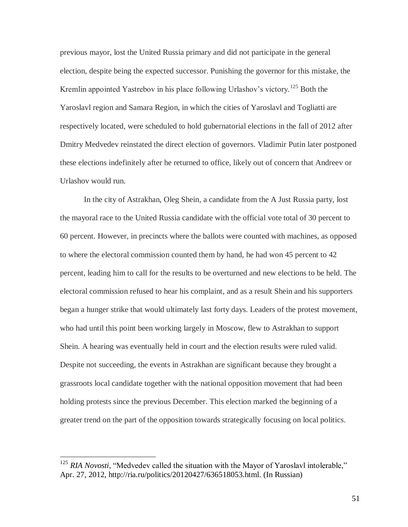previous mayor, lost the United Russia primary and did not participate in the general election, despite being the expected successor. Punishing the governor for this mistake, the Kremlin appointed Yastrebov in his place following Urlashov's victory.<sup>125</sup> Both the Yaroslavl region and Samara Region, in which the cities of Yaroslavl and Togliatti are respectively located, were scheduled to hold gubernatorial elections in the fall of 2012 after Dmitry Medvedev reinstated the direct election of governors. Vladimir Putin later postponed these elections indefinitely after he returned to office, likely out of concern that Andreev or Urlashov would run.

In the city of Astrakhan, Oleg Shein, a candidate from the A Just Russia party, lost the mayoral race to the United Russia candidate with the official vote total of 30 percent to 60 percent. However, in precincts where the ballots were counted with machines, as opposed to where the electoral commission counted them by hand, he had won 45 percent to 42 percent, leading him to call for the results to be overturned and new elections to be held. The electoral commission refused to hear his complaint, and as a result Shein and his supporters began a hunger strike that would ultimately last forty days. Leaders of the protest movement, who had until this point been working largely in Moscow, flew to Astrakhan to support Shein. A hearing was eventually held in court and the election results were ruled valid. Despite not succeeding, the events in Astrakhan are significant because they brought a grassroots local candidate together with the national opposition movement that had been holding protests since the previous December. This election marked the beginning of a greater trend on the part of the opposition towards strategically focusing on local politics.

<sup>&</sup>lt;sup>125</sup> *RIA Novosti*, "Medvedev called the situation with the Mayor of Yaroslavl intolerable," Apr. 27, 2012, http://ria.ru/politics/20120427/636518053.html. (In Russian)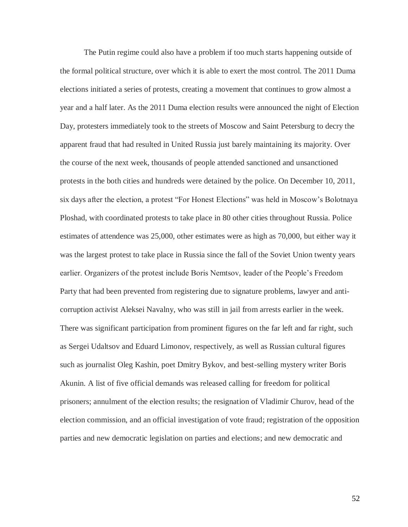The Putin regime could also have a problem if too much starts happening outside of the formal political structure, over which it is able to exert the most control. The 2011 Duma elections initiated a series of protests, creating a movement that continues to grow almost a year and a half later. As the 2011 Duma election results were announced the night of Election Day, protesters immediately took to the streets of Moscow and Saint Petersburg to decry the apparent fraud that had resulted in United Russia just barely maintaining its majority. Over the course of the next week, thousands of people attended sanctioned and unsanctioned protests in the both cities and hundreds were detained by the police. On December 10, 2011, six days after the election, a protest "For Honest Elections" was held in Moscow's Bolotnaya Ploshad, with coordinated protests to take place in 80 other cities throughout Russia. Police estimates of attendence was 25,000, other estimates were as high as 70,000, but either way it was the largest protest to take place in Russia since the fall of the Soviet Union twenty years earlier. Organizers of the protest include Boris Nemtsov, leader of the People's Freedom Party that had been prevented from registering due to signature problems, lawyer and anticorruption activist Aleksei Navalny, who was still in jail from arrests earlier in the week. There was significant participation from prominent figures on the far left and far right, such as Sergei Udaltsov and Eduard Limonov, respectively, as well as Russian cultural figures such as journalist Oleg Kashin, poet Dmitry Bykov, and best-selling mystery writer Boris Akunin. A list of five official demands was released calling for freedom for political prisoners; annulment of the election results; the resignation of Vladimir Churov, head of the election commission, and an official investigation of vote fraud; registration of the opposition parties and new democratic legislation on parties and elections; and new democratic and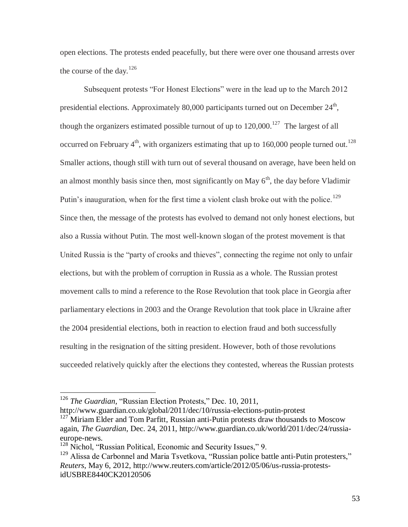open elections. The protests ended peacefully, but there were over one thousand arrests over the course of the day.<sup>126</sup>

Subsequent protests "For Honest Elections" were in the lead up to the March 2012 presidential elections. Approximately 80,000 participants turned out on December  $24<sup>th</sup>$ , though the organizers estimated possible turnout of up to  $120,000$ .<sup>127</sup> The largest of all occurred on February  $4<sup>th</sup>$ , with organizers estimating that up to 160,000 people turned out.<sup>128</sup> Smaller actions, though still with turn out of several thousand on average, have been held on an almost monthly basis since then, most significantly on May  $6<sup>th</sup>$ , the day before Vladimir Putin's inauguration, when for the first time a violent clash broke out with the police.<sup>129</sup> Since then, the message of the protests has evolved to demand not only honest elections, but also a Russia without Putin. The most well-known slogan of the protest movement is that United Russia is the "party of crooks and thieves", connecting the regime not only to unfair elections, but with the problem of corruption in Russia as a whole. The Russian protest movement calls to mind a reference to the Rose Revolution that took place in Georgia after parliamentary elections in 2003 and the Orange Revolution that took place in Ukraine after the 2004 presidential elections, both in reaction to election fraud and both successfully resulting in the resignation of the sitting president. However, both of those revolutions succeeded relatively quickly after the elections they contested, whereas the Russian protests

 $\overline{a}$ 

http://www.guardian.co.uk/global/2011/dec/10/russia-elections-putin-protest

<sup>126</sup> *The Guardian,* "Russian Election Protests," Dec. 10, 2011,

 $127$  Miriam Elder and Tom Parfitt, Russian anti-Putin protests draw thousands to Moscow again, *The Guardian*, Dec. 24, 2011, http://www.guardian.co.uk/world/2011/dec/24/russiaeurope-news.

<sup>128</sup> Nichol, "Russian Political, Economic and Security Issues," 9.

<sup>&</sup>lt;sup>129</sup> Alissa de Carbonnel and Maria Tsvetkova, "Russian police battle anti-Putin protesters," *Reuters*, May 6, 2012, http://www.reuters.com/article/2012/05/06/us-russia-protestsidUSBRE8440CK20120506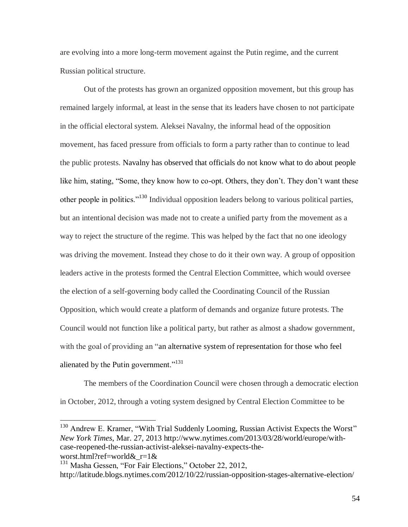are evolving into a more long-term movement against the Putin regime, and the current Russian political structure.

Out of the protests has grown an organized opposition movement, but this group has remained largely informal, at least in the sense that its leaders have chosen to not participate in the official electoral system. Aleksei Navalny, the informal head of the opposition movement, has faced pressure from officials to form a party rather than to continue to lead the public protests. Navalny has observed that officials do not know what to do about people like him, stating, "Some, they know how to co-opt. Others, they don't. They don't want these other people in politics."<sup>130</sup> Individual opposition leaders belong to various political parties, but an intentional decision was made not to create a unified party from the movement as a way to reject the structure of the regime. This was helped by the fact that no one ideology was driving the movement. Instead they chose to do it their own way. A group of opposition leaders active in the protests formed the Central Election Committee, which would oversee the election of a self-governing body called the Coordinating Council of the Russian Opposition, which would create a platform of demands and organize future protests. The Council would not function like a political party, but rather as almost a shadow government, with the goal of providing an "an alternative system of representation for those who feel alienated by the Putin government."<sup>131</sup>

The members of the Coordination Council were chosen through a democratic election in October, 2012, through a voting system designed by Central Election Committee to be

<sup>&</sup>lt;sup>130</sup> Andrew E. Kramer, "With Trial Suddenly Looming, Russian Activist Expects the Worst" *New York Times*, Mar. 27, 2013 http://www.nytimes.com/2013/03/28/world/europe/withcase-reopened-the-russian-activist-aleksei-navalny-expects-theworst.html?ref=world&\_r=1&

<sup>&</sup>lt;sup>131</sup> Masha Gessen, "For Fair Elections," October 22, 2012,

http://latitude.blogs.nytimes.com/2012/10/22/russian-opposition-stages-alternative-election/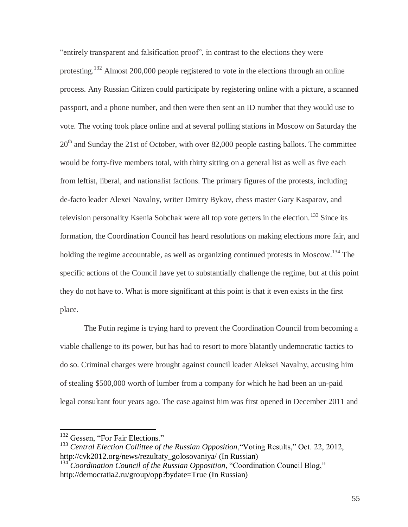"entirely transparent and falsification proof", in contrast to the elections they were protesting.<sup>132</sup> Almost 200,000 people registered to vote in the elections through an online process. Any Russian Citizen could participate by registering online with a picture, a scanned passport, and a phone number, and then were then sent an ID number that they would use to vote. The voting took place online and at several polling stations in Moscow on Saturday the  $20<sup>th</sup>$  and Sunday the 21st of October, with over 82,000 people casting ballots. The committee would be forty-five members total, with thirty sitting on a general list as well as five each from leftist, liberal, and nationalist factions. The primary figures of the protests, including de-facto leader Alexei Navalny, writer Dmitry Bykov, chess master Gary Kasparov, and television personality Ksenia Sobchak were all top vote getters in the election.<sup>133</sup> Since its formation, the Coordination Council has heard resolutions on making elections more fair, and holding the regime accountable, as well as organizing continued protests in Moscow.<sup>134</sup> The specific actions of the Council have yet to substantially challenge the regime, but at this point they do not have to. What is more significant at this point is that it even exists in the first place.

The Putin regime is trying hard to prevent the Coordination Council from becoming a viable challenge to its power, but has had to resort to more blatantly undemocratic tactics to do so. Criminal charges were brought against council leader Aleksei Navalny, accusing him of stealing \$500,000 worth of lumber from a company for which he had been an un-paid legal consultant four years ago. The case against him was first opened in December 2011 and

<sup>&</sup>lt;sup>132</sup> Gessen, "For Fair Elections."

<sup>133</sup> *Central Election Collittee of the Russian Opposition*,"Voting Results," Oct. 22, 2012, http://cvk2012.org/news/rezultaty\_golosovaniya/ (In Russian)

<sup>134</sup> *Coordination Council of the Russian Opposition*, "Coordination Council Blog," http://democratia2.ru/group/opp?bydate=True (In Russian)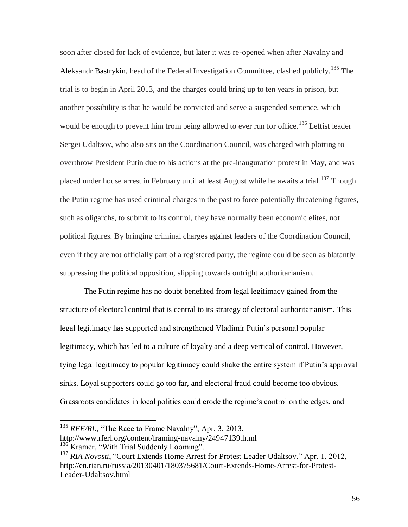soon after closed for lack of evidence, but later it was re-opened when after Navalny and Aleksandr Bastrykin, head of the Federal Investigation Committee, clashed publicly.<sup>135</sup> The trial is to begin in April 2013, and the charges could bring up to ten years in prison, but another possibility is that he would be convicted and serve a suspended sentence, which would be enough to prevent him from being allowed to ever run for office.<sup>136</sup> Leftist leader Sergei Udaltsov, who also sits on the Coordination Council, was charged with plotting to overthrow President Putin due to his actions at the pre-inauguration protest in May, and was placed under house arrest in February until at least August while he awaits a trial.<sup>137</sup> Though the Putin regime has used criminal charges in the past to force potentially threatening figures, such as oligarchs, to submit to its control, they have normally been economic elites, not political figures. By bringing criminal charges against leaders of the Coordination Council, even if they are not officially part of a registered party, the regime could be seen as blatantly suppressing the political opposition, slipping towards outright authoritarianism.

The Putin regime has no doubt benefited from legal legitimacy gained from the structure of electoral control that is central to its strategy of electoral authoritarianism. This legal legitimacy has supported and strengthened Vladimir Putin's personal popular legitimacy, which has led to a culture of loyalty and a deep vertical of control. However, tying legal legitimacy to popular legitimacy could shake the entire system if Putin's approval sinks. Loyal supporters could go too far, and electoral fraud could become too obvious. Grassroots candidates in local politics could erode the regime's control on the edges, and

<sup>&</sup>lt;sup>135</sup> *RFE/RL*, "The Race to Frame Navalny", Apr. 3, 2013, http://www.rferl.org/content/framing-navalny/24947139.html <sup>136</sup> Kramer, "With Trial Suddenly Looming".

<sup>&</sup>lt;sup>137</sup> *RIA Novosti*, "Court Extends Home Arrest for Protest Leader Udaltsov," Apr. 1, 2012, http://en.rian.ru/russia/20130401/180375681/Court-Extends-Home-Arrest-for-Protest-Leader-Udaltsov.html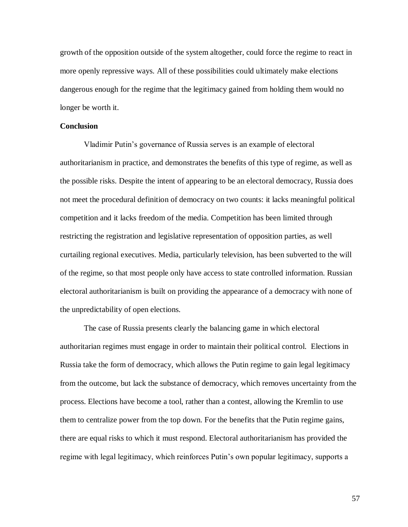growth of the opposition outside of the system altogether, could force the regime to react in more openly repressive ways. All of these possibilities could ultimately make elections dangerous enough for the regime that the legitimacy gained from holding them would no longer be worth it.

#### **Conclusion**

Vladimir Putin's governance of Russia serves is an example of electoral authoritarianism in practice, and demonstrates the benefits of this type of regime, as well as the possible risks. Despite the intent of appearing to be an electoral democracy, Russia does not meet the procedural definition of democracy on two counts: it lacks meaningful political competition and it lacks freedom of the media. Competition has been limited through restricting the registration and legislative representation of opposition parties, as well curtailing regional executives. Media, particularly television, has been subverted to the will of the regime, so that most people only have access to state controlled information. Russian electoral authoritarianism is built on providing the appearance of a democracy with none of the unpredictability of open elections.

The case of Russia presents clearly the balancing game in which electoral authoritarian regimes must engage in order to maintain their political control. Elections in Russia take the form of democracy, which allows the Putin regime to gain legal legitimacy from the outcome, but lack the substance of democracy, which removes uncertainty from the process. Elections have become a tool, rather than a contest, allowing the Kremlin to use them to centralize power from the top down. For the benefits that the Putin regime gains, there are equal risks to which it must respond. Electoral authoritarianism has provided the regime with legal legitimacy, which reinforces Putin's own popular legitimacy, supports a

57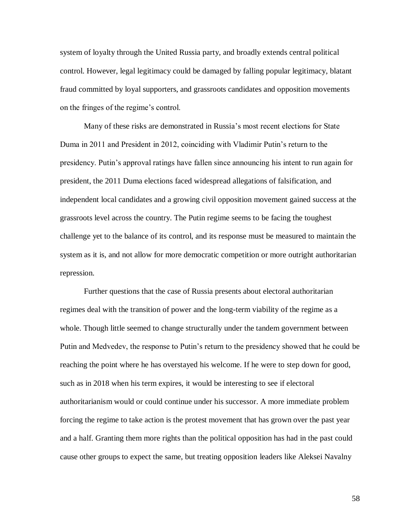system of loyalty through the United Russia party, and broadly extends central political control. However, legal legitimacy could be damaged by falling popular legitimacy, blatant fraud committed by loyal supporters, and grassroots candidates and opposition movements on the fringes of the regime's control.

Many of these risks are demonstrated in Russia's most recent elections for State Duma in 2011 and President in 2012, coinciding with Vladimir Putin's return to the presidency. Putin's approval ratings have fallen since announcing his intent to run again for president, the 2011 Duma elections faced widespread allegations of falsification, and independent local candidates and a growing civil opposition movement gained success at the grassroots level across the country. The Putin regime seems to be facing the toughest challenge yet to the balance of its control, and its response must be measured to maintain the system as it is, and not allow for more democratic competition or more outright authoritarian repression.

Further questions that the case of Russia presents about electoral authoritarian regimes deal with the transition of power and the long-term viability of the regime as a whole. Though little seemed to change structurally under the tandem government between Putin and Medvedev, the response to Putin's return to the presidency showed that he could be reaching the point where he has overstayed his welcome. If he were to step down for good, such as in 2018 when his term expires, it would be interesting to see if electoral authoritarianism would or could continue under his successor. A more immediate problem forcing the regime to take action is the protest movement that has grown over the past year and a half. Granting them more rights than the political opposition has had in the past could cause other groups to expect the same, but treating opposition leaders like Aleksei Navalny

58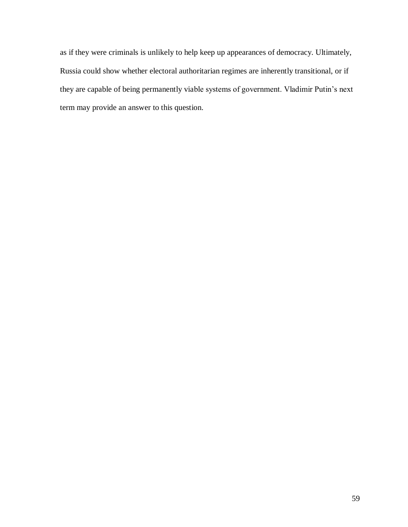as if they were criminals is unlikely to help keep up appearances of democracy. Ultimately, Russia could show whether electoral authoritarian regimes are inherently transitional, or if they are capable of being permanently viable systems of government. Vladimir Putin's next term may provide an answer to this question.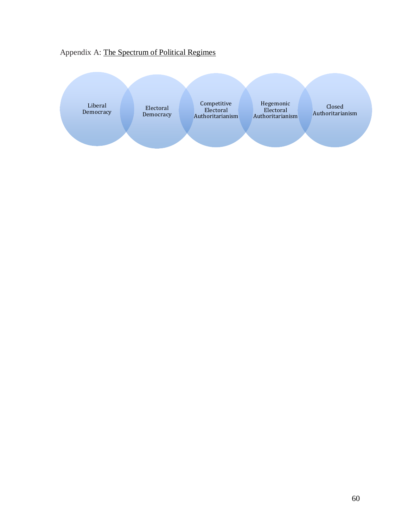## Appendix A: The Spectrum of Political Regimes

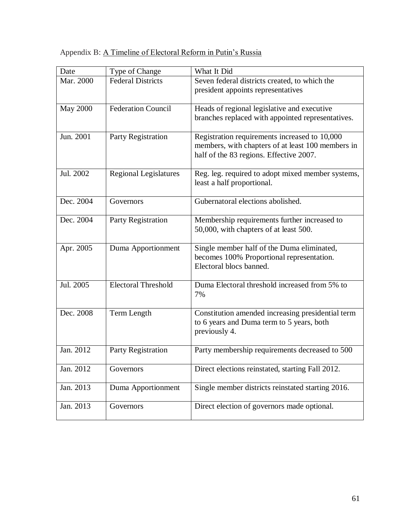## Appendix B: A Timeline of Electoral Reform in Putin's Russia

| Date            | Type of Change               | What It Did                                                                                                                                   |
|-----------------|------------------------------|-----------------------------------------------------------------------------------------------------------------------------------------------|
| Mar. 2000       | Federal Districts            | Seven federal districts created, to which the<br>president appoints representatives                                                           |
| <b>May 2000</b> | <b>Federation Council</b>    | Heads of regional legislative and executive<br>branches replaced with appointed representatives.                                              |
| Jun. 2001       | Party Registration           | Registration requirements increased to 10,000<br>members, with chapters of at least 100 members in<br>half of the 83 regions. Effective 2007. |
| Jul. 2002       | <b>Regional Legislatures</b> | Reg. leg. required to adopt mixed member systems,<br>least a half proportional.                                                               |
| Dec. 2004       | Governors                    | Gubernatoral elections abolished.                                                                                                             |
| Dec. 2004       | Party Registration           | Membership requirements further increased to<br>50,000, with chapters of at least 500.                                                        |
| Apr. 2005       | Duma Apportionment           | Single member half of the Duma eliminated,<br>becomes 100% Proportional representation.<br>Electoral blocs banned.                            |
| Jul. 2005       | <b>Electoral Threshold</b>   | Duma Electoral threshold increased from 5% to<br>7%                                                                                           |
| Dec. 2008       | Term Length                  | Constitution amended increasing presidential term<br>to 6 years and Duma term to 5 years, both<br>previously 4.                               |
| Jan. 2012       | Party Registration           | Party membership requirements decreased to 500                                                                                                |
| Jan. 2012       | Governors                    | Direct elections reinstated, starting Fall 2012.                                                                                              |
| Jan. 2013       | Duma Apportionment           | Single member districts reinstated starting 2016.                                                                                             |
| Jan. 2013       | Governors                    | Direct election of governors made optional.                                                                                                   |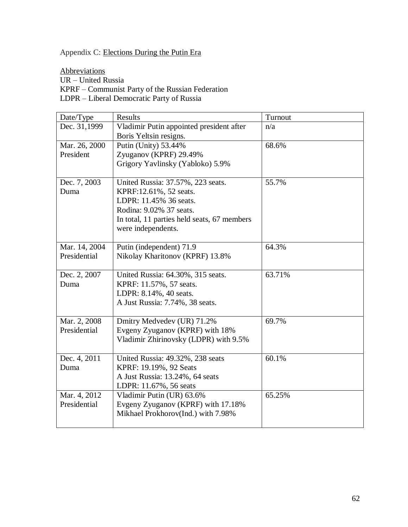### Appendix C: Elections During the Putin Era

**Abbreviations** 

UR – United Russia

KPRF – Communist Party of the Russian Federation

LDPR – Liberal Democratic Party of Russia

| Date/Type     | Results                                     | Turnout |
|---------------|---------------------------------------------|---------|
| Dec. 31,1999  | Vladimir Putin appointed president after    | n/a     |
|               | Boris Yeltsin resigns.                      |         |
| Mar. 26, 2000 | Putin (Unity) 53.44%                        | 68.6%   |
| President     | Zyuganov (KPRF) 29.49%                      |         |
|               | Grigory Yavlinsky (Yabloko) 5.9%            |         |
|               |                                             |         |
| Dec. 7, 2003  | United Russia: 37.57%, 223 seats.           | 55.7%   |
| Duma          | KPRF:12.61%, 52 seats.                      |         |
|               | LDPR: 11.45% 36 seats.                      |         |
|               | Rodina: 9.02% 37 seats.                     |         |
|               | In total, 11 parties held seats, 67 members |         |
|               | were independents.                          |         |
| Mar. 14, 2004 | Putin (independent) 71.9                    | 64.3%   |
| Presidential  | Nikolay Kharitonov (KPRF) 13.8%             |         |
|               |                                             |         |
| Dec. 2, 2007  | United Russia: 64.30%, 315 seats.           | 63.71%  |
| Duma          | KPRF: 11.57%, 57 seats.                     |         |
|               | LDPR: 8.14%, 40 seats.                      |         |
|               | A Just Russia: 7.74%, 38 seats.             |         |
|               |                                             |         |
| Mar. 2, 2008  | Dmitry Medvedev (UR) 71.2%                  | 69.7%   |
| Presidential  | Evgeny Zyuganov (KPRF) with 18%             |         |
|               | Vladimir Zhirinovsky (LDPR) with 9.5%       |         |
|               |                                             |         |
| Dec. 4, 2011  | United Russia: 49.32%, 238 seats            | 60.1%   |
| Duma          | KPRF: 19.19%, 92 Seats                      |         |
|               | A Just Russia: 13.24%, 64 seats             |         |
|               | LDPR: 11.67%, 56 seats                      |         |
| Mar. 4, 2012  | Vladimir Putin (UR) 63.6%                   | 65.25%  |
| Presidential  | Evgeny Zyuganov (KPRF) with 17.18%          |         |
|               | Mikhael Prokhorov(Ind.) with 7.98%          |         |
|               |                                             |         |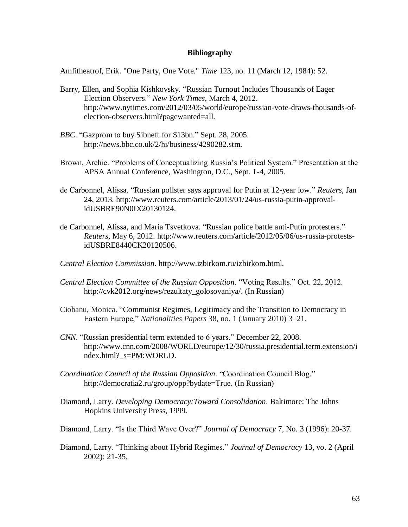#### **Bibliography**

Amfitheatrof, Erik. "One Party, One Vote." *Time* 123, no. 11 (March 12, 1984): 52.

- Barry, Ellen, and Sophia Kishkovsky. "Russian Turnout Includes Thousands of Eager Election Observers." *New York Times*, March 4, 2012. http://www.nytimes.com/2012/03/05/world/europe/russian-vote-draws-thousands-ofelection-observers.html?pagewanted=all.
- *BBC*. "Gazprom to buy Sibneft for \$13bn." Sept. 28, 2005. http://news.bbc.co.uk/2/hi/business/4290282.stm.
- Brown, Archie. "Problems of Conceptualizing Russia's Political System." Presentation at the APSA Annual Conference, Washington, D.C., Sept. 1-4, 2005.
- de Carbonnel, Alissa. "Russian pollster says approval for Putin at 12-year low." *Reuters*, Jan 24, 2013. http://www.reuters.com/article/2013/01/24/us-russia-putin-approvalidUSBRE90N0IX20130124.
- de Carbonnel, Alissa, and Maria Tsvetkova. "Russian police battle anti-Putin protesters." *Reuters*, May 6, 2012. http://www.reuters.com/article/2012/05/06/us-russia-protestsidUSBRE8440CK20120506.
- *Central Election Commission*. http://www.izbirkom.ru/izbirkom.html.
- *Central Election Committee of the Russian Opposition*. "Voting Results." Oct. 22, 2012. http://cvk2012.org/news/rezultaty\_golosovaniya/. (In Russian)
- Ciobanu, Monica. "Communist Regimes, Legitimacy and the Transition to Democracy in Eastern Europe," *Nationalities Papers* 38, no. 1 (January 2010) 3–21.
- *CNN*. "Russian presidential term extended to 6 years." December 22, 2008. http://www.cnn.com/2008/WORLD/europe/12/30/russia.presidential.term.extension/i ndex.html?\_s=PM:WORLD.
- *Coordination Council of the Russian Opposition*. "Coordination Council Blog." http://democratia2.ru/group/opp?bydate=True. (In Russian)
- Diamond, Larry. *Developing Democracy:Toward Consolidation*. Baltimore: The Johns Hopkins University Press, 1999.

Diamond, Larry. "Is the Third Wave Over?" *Journal of Democracy* 7, No. 3 (1996): 20-37.

Diamond, Larry. "Thinking about Hybrid Regimes." *Journal of Democracy* 13, vo. 2 (April 2002): 21-35.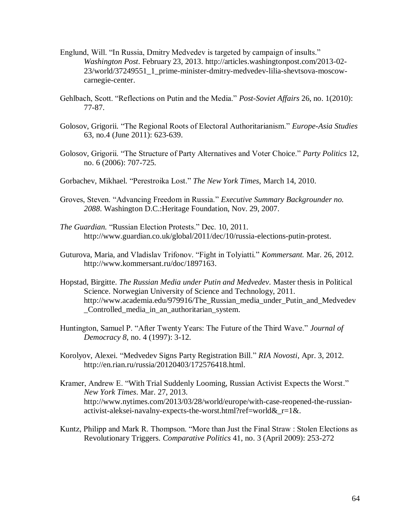- Englund, Will. "In Russia, Dmitry Medvedev is targeted by campaign of insults." *Washington Post*. February 23, 2013. http://articles.washingtonpost.com/2013-02- 23/world/37249551\_1\_prime-minister-dmitry-medvedev-lilia-shevtsova-moscowcarnegie-center.
- Gehlbach, Scott. "Reflections on Putin and the Media." *Post-Soviet Affairs* 26, no. 1(2010): 77-87.
- Golosov, Grigorii. "The Regional Roots of Electoral Authoritarianism." *Europe-Asia Studies* 63, no.4 (June 2011): 623-639.
- Golosov, Grigorii. "The Structure of Party Alternatives and Voter Choice." *Party Politics* 12, no. 6 (2006): 707-725.
- Gorbachev, Mikhael. "Perestroika Lost." *The New York Times*, March 14, 2010.
- Groves, Steven. "Advancing Freedom in Russia." *Executive Summary Backgrounder no. 2088*. Washington D.C.:Heritage Foundation, Nov. 29, 2007.
- *The Guardian.* "Russian Election Protests." Dec. 10, 2011. http://www.guardian.co.uk/global/2011/dec/10/russia-elections-putin-protest.
- Guturova, Maria, and Vladislav Trifonov. "Fight in Tolyiatti." *Kommersant.* Mar. 26, 2012. http://www.kommersant.ru/doc/1897163.
- Hopstad, Birgitte. *The Russian Media under Putin and Medvedev.* Master thesis in Political Science. Norwegian University of Science and Technology, 2011. http://www.academia.edu/979916/The Russian media under Putin and Medvedev \_Controlled\_media\_in\_an\_authoritarian\_system.
- Huntington, Samuel P. "After Twenty Years: The Future of the Third Wave." *Journal of Democracy 8*, no. 4 (1997): 3-12.
- Korolyov, Alexei. "Medvedev Signs Party Registration Bill." *RIA Novosti*, Apr. 3, 2012. http://en.rian.ru/russia/20120403/172576418.html.
- Kramer, Andrew E. "With Trial Suddenly Looming, Russian Activist Expects the Worst." *New York Times*. Mar. 27, 2013. http://www.nytimes.com/2013/03/28/world/europe/with-case-reopened-the-russianactivist-aleksei-navalny-expects-the-worst.html?ref=world&\_r=1&.
- Kuntz, Philipp and Mark R. Thompson. "More than Just the Final Straw : Stolen Elections as Revolutionary Triggers. *Comparative Politics* 41, no. 3 (April 2009): 253-272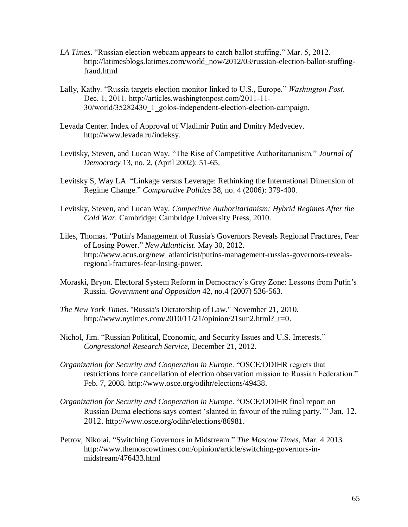- *LA Times*. "Russian election webcam appears to catch ballot stuffing." Mar. 5, 2012. http://latimesblogs.latimes.com/world\_now/2012/03/russian-election-ballot-stuffingfraud.html
- Lally, Kathy. "Russia targets election monitor linked to U.S., Europe." *Washington Post*. Dec. 1, 2011. http://articles.washingtonpost.com/2011-11- 30/world/35282430\_1\_golos-independent-election-election-campaign.
- Levada Center. Index of Approval of Vladimir Putin and Dmitry Medvedev. http://www.levada.ru/indeksy.
- Levitsky, Steven, and Lucan Way. "The Rise of Competitive Authoritarianism." *Journal of Democracy* 13, no. 2, (April 2002): 51-65.
- Levitsky S, Way LA. "Linkage versus Leverage: Rethinking the International Dimension of Regime Change." *Comparative Politics* 38, no. 4 (2006): 379-400.
- Levitsky, Steven, and Lucan Way. *Competitive Authoritarianism: Hybrid Regimes After the Cold War.* Cambridge: Cambridge University Press, 2010.
- Liles, Thomas. "Putin's Management of Russia's Governors Reveals Regional Fractures, Fear of Losing Power." *New Atlanticist*. May 30, 2012. http://www.acus.org/new\_atlanticist/putins-management-russias-governors-revealsregional-fractures-fear-losing-power.
- Moraski, Bryon. Electoral System Reform in Democracy's Grey Zone: Lessons from Putin's Russia. *Government and Opposition* 42, no.4 (2007) 536-563.
- *The New York Times*. "Russia's Dictatorship of Law." November 21, 2010. http://www.nytimes.com/2010/11/21/opinion/21sun2.html?\_r=0.
- Nichol, Jim. "Russian Political, Economic, and Security Issues and U.S. Interests." *Congressional Research Service*, December 21, 2012.
- *Organization for Security and Cooperation in Europe*. "OSCE/ODIHR regrets that restrictions force cancellation of election observation mission to Russian Federation." Feb. 7, 2008. http://www.osce.org/odihr/elections/49438.
- *Organization for Security and Cooperation in Europe*. "OSCE/ODIHR final report on Russian Duma elections says contest 'slanted in favour of the ruling party.'" Jan. 12, 2012. http://www.osce.org/odihr/elections/86981.
- Petrov, Nikolai. "Switching Governors in Midstream." *The Moscow Times,* Mar. 4 2013. http://www.themoscowtimes.com/opinion/article/switching-governors-inmidstream/476433.html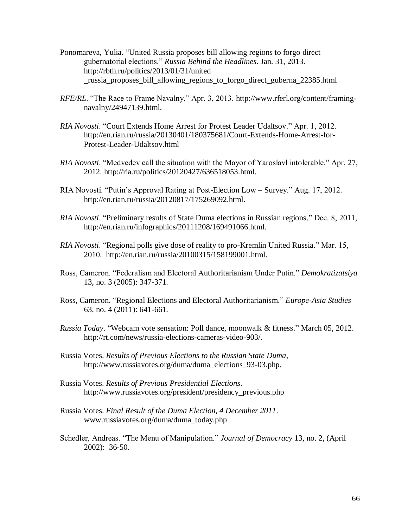- Ponomareva, Yulia. "United Russia proposes bill allowing regions to forgo direct gubernatorial elections." *Russia Behind the Headlines*. Jan. 31, 2013. http://rbth.ru/politics/2013/01/31/united \_russia\_proposes\_bill\_allowing\_regions\_to\_forgo\_direct\_guberna\_22385.html
- *RFE/RL*. "The Race to Frame Navalny." Apr. 3, 2013. http://www.rferl.org/content/framingnavalny/24947139.html.
- *RIA Novosti*. "Court Extends Home Arrest for Protest Leader Udaltsov." Apr. 1, 2012. http://en.rian.ru/russia/20130401/180375681/Court-Extends-Home-Arrest-for-Protest-Leader-Udaltsov.html
- *RIA Novosti*. "Medvedev call the situation with the Mayor of Yaroslavl intolerable." Apr. 27, 2012. http://ria.ru/politics/20120427/636518053.html.
- RIA Novosti. "Putin's Approval Rating at Post-Election Low Survey." Aug. 17, 2012. http://en.rian.ru/russia/20120817/175269092.html.
- *RIA Novosti*. "Preliminary results of State Duma elections in Russian regions," Dec. 8, 2011, http://en.rian.ru/infographics/20111208/169491066.html.
- *RIA Novosti*. "Regional polls give dose of reality to pro-Kremlin United Russia." Mar. 15, 2010. http://en.rian.ru/russia/20100315/158199001.html.
- Ross, Cameron. "Federalism and Electoral Authoritarianism Under Putin." *Demokratizatsiya* 13, no. 3 (2005): 347-371.
- Ross, Cameron. "Regional Elections and Electoral Authoritarianism." *Europe-Asia Studies* 63, no. 4 (2011): 641-661.
- *Russia Today*. "Webcam vote sensation: Poll dance, moonwalk & fitness." March 05, 2012. http://rt.com/news/russia-elections-cameras-video-903/.
- Russia Votes. *Results of Previous Elections to the Russian State Duma*, http://www.russiavotes.org/duma/duma\_elections\_93-03.php.
- Russia Votes. *Results of Previous Presidential Elections*. http://www.russiavotes.org/president/presidency\_previous.php
- Russia Votes. *Final Result of the Duma Election, 4 December 2011*. www.russiavotes.org/duma/duma\_today.php
- Schedler, Andreas. "The Menu of Manipulation." *Journal of Democracy* 13, no. 2, (April 2002): 36-50.